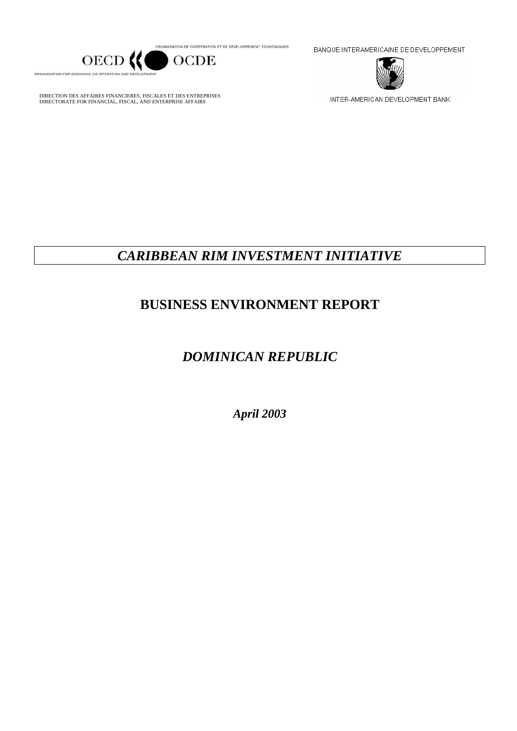SATION DE COOPÉRATION ET DE DÉVELOPPEMENT ÉCONOMIQUES



BANQUE INTERAMERICAINE DE DEVELOPPEMENT



DIRECTION DES AFFAIRES FINANCIERES, FISCALES ET DES ENTREPRISES DIRECTORATE FOR FINANCIAL, FISCAL, AND ENTERPRISE AFFAIRS

INTER-AMERICAN DEVELOPMENT BANK

# *CARIBBEAN RIM INVESTMENT INITIATIVE*

# **BUSINESS ENVIRONMENT REPORT**

# *DOMINICAN REPUBLIC*

*April 2003*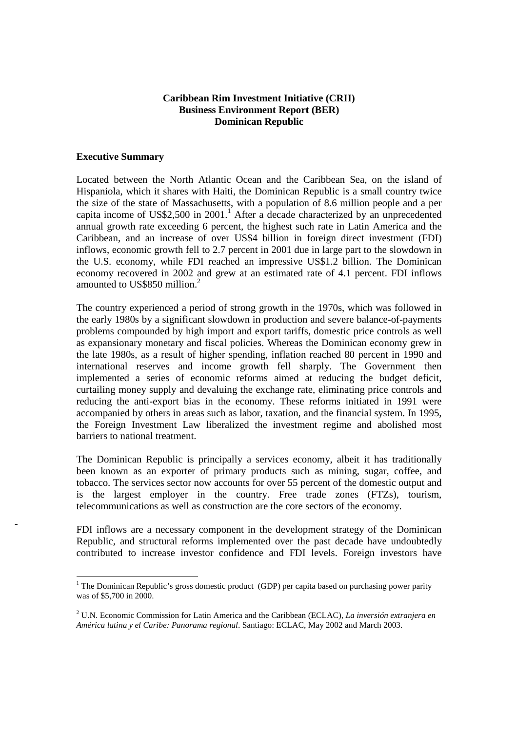## **Caribbean Rim Investment Initiative (CRII) Business Environment Report (BER) Dominican Republic**

### **Executive Summary**

-

-

Located between the North Atlantic Ocean and the Caribbean Sea, on the island of Hispaniola, which it shares with Haiti, the Dominican Republic is a small country twice the size of the state of Massachusetts, with a population of 8.6 million people and a per capita income of US\$2,500 in 2001.<sup>1</sup> After a decade characterized by an unprecedented annual growth rate exceeding 6 percent, the highest such rate in Latin America and the Caribbean, and an increase of over US\$4 billion in foreign direct investment (FDI) inflows, economic growth fell to 2.7 percent in 2001 due in large part to the slowdown in the U.S. economy, while FDI reached an impressive US\$1.2 billion. The Dominican economy recovered in 2002 and grew at an estimated rate of 4.1 percent. FDI inflows amounted to US\$850 million.2

The country experienced a period of strong growth in the 1970s, which was followed in the early 1980s by a significant slowdown in production and severe balance-of-payments problems compounded by high import and export tariffs, domestic price controls as well as expansionary monetary and fiscal policies. Whereas the Dominican economy grew in the late 1980s, as a result of higher spending, inflation reached 80 percent in 1990 and international reserves and income growth fell sharply. The Government then implemented a series of economic reforms aimed at reducing the budget deficit, curtailing money supply and devaluing the exchange rate, eliminating price controls and reducing the anti-export bias in the economy. These reforms initiated in 1991 were accompanied by others in areas such as labor, taxation, and the financial system. In 1995, the Foreign Investment Law liberalized the investment regime and abolished most barriers to national treatment.

The Dominican Republic is principally a services economy, albeit it has traditionally been known as an exporter of primary products such as mining, sugar, coffee, and tobacco. The services sector now accounts for over 55 percent of the domestic output and is the largest employer in the country. Free trade zones (FTZs), tourism, telecommunications as well as construction are the core sectors of the economy.

FDI inflows are a necessary component in the development strategy of the Dominican Republic, and structural reforms implemented over the past decade have undoubtedly contributed to increase investor confidence and FDI levels. Foreign investors have

<sup>&</sup>lt;sup>1</sup> The Dominican Republic's gross domestic product (GDP) per capita based on purchasing power parity was of \$5,700 in 2000.

<sup>2</sup> U.N. Economic Commission for Latin America and the Caribbean (ECLAC), *La inversión extranjera en América latina y el Caribe: Panorama regional*. Santiago: ECLAC, May 2002 and March 2003.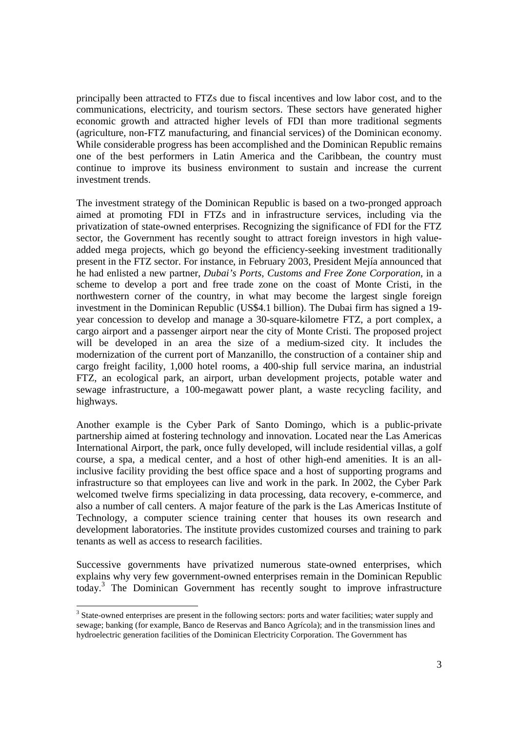principally been attracted to FTZs due to fiscal incentives and low labor cost, and to the communications, electricity, and tourism sectors. These sectors have generated higher economic growth and attracted higher levels of FDI than more traditional segments (agriculture, non-FTZ manufacturing, and financial services) of the Dominican economy. While considerable progress has been accomplished and the Dominican Republic remains one of the best performers in Latin America and the Caribbean, the country must continue to improve its business environment to sustain and increase the current investment trends.

The investment strategy of the Dominican Republic is based on a two-pronged approach aimed at promoting FDI in FTZs and in infrastructure services, including via the privatization of state-owned enterprises. Recognizing the significance of FDI for the FTZ sector, the Government has recently sought to attract foreign investors in high valueadded mega projects, which go beyond the efficiency-seeking investment traditionally present in the FTZ sector. For instance, in February 2003, President Mejía announced that he had enlisted a new partner, *Dubai's Ports, Customs and Free Zone Corporation*, in a scheme to develop a port and free trade zone on the coast of Monte Cristi, in the northwestern corner of the country, in what may become the largest single foreign investment in the Dominican Republic (US\$4.1 billion). The Dubai firm has signed a 19 year concession to develop and manage a 30-square-kilometre FTZ, a port complex, a cargo airport and a passenger airport near the city of Monte Cristi. The proposed project will be developed in an area the size of a medium-sized city. It includes the modernization of the current port of Manzanillo, the construction of a container ship and cargo freight facility, 1,000 hotel rooms, a 400-ship full service marina, an industrial FTZ, an ecological park, an airport, urban development projects, potable water and sewage infrastructure, a 100-megawatt power plant, a waste recycling facility, and highways.

Another example is the Cyber Park of Santo Domingo, which is a public-private partnership aimed at fostering technology and innovation. Located near the Las Americas International Airport, the park, once fully developed, will include residential villas, a golf course, a spa, a medical center, and a host of other high-end amenities. It is an allinclusive facility providing the best office space and a host of supporting programs and infrastructure so that employees can live and work in the park. In 2002, the Cyber Park welcomed twelve firms specializing in data processing, data recovery, e-commerce, and also a number of call centers. A major feature of the park is the Las Americas Institute of Technology, a computer science training center that houses its own research and development laboratories. The institute provides customized courses and training to park tenants as well as access to research facilities.

Successive governments have privatized numerous state-owned enterprises, which explains why very few government-owned enterprises remain in the Dominican Republic today.<sup>3</sup> The Dominican Government has recently sought to improve infrastructure

<sup>&</sup>lt;sup>3</sup> State-owned enterprises are present in the following sectors: ports and water facilities; water supply and <sup>3</sup> sewage; banking (for example, Banco de Reservas and Banco Agrícola); and in the transmission lines and hydroelectric generation facilities of the Dominican Electricity Corporation. The Government has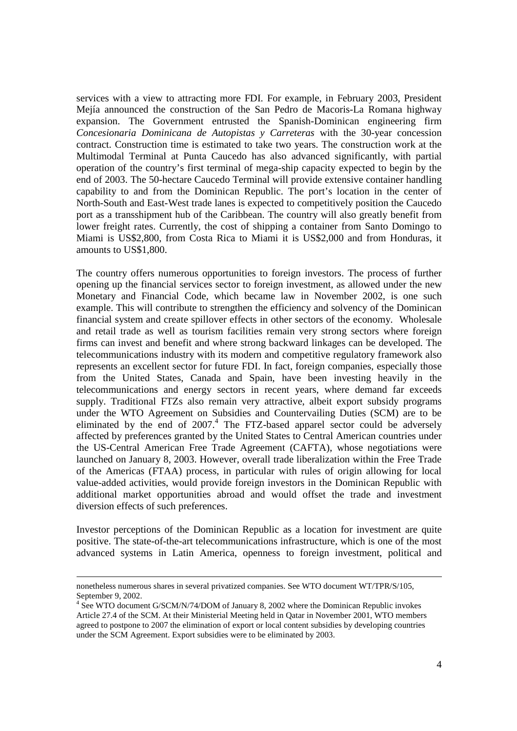services with a view to attracting more FDI. For example, in February 2003, President Mejía announced the construction of the San Pedro de Macoris-La Romana highway expansion. The Government entrusted the Spanish-Dominican engineering firm *Concesionaria Dominicana de Autopistas y Carreteras* with the 30-year concession contract. Construction time is estimated to take two years. The construction work at the Multimodal Terminal at Punta Caucedo has also advanced significantly, with partial operation of the country's first terminal of mega-ship capacity expected to begin by the end of 2003. The 50-hectare Caucedo Terminal will provide extensive container handling capability to and from the Dominican Republic. The port's location in the center of North-South and East-West trade lanes is expected to competitively position the Caucedo port as a transshipment hub of the Caribbean. The country will also greatly benefit from lower freight rates. Currently, the cost of shipping a container from Santo Domingo to Miami is US\$2,800, from Costa Rica to Miami it is US\$2,000 and from Honduras, it amounts to US\$1,800.

The country offers numerous opportunities to foreign investors. The process of further opening up the financial services sector to foreign investment, as allowed under the new Monetary and Financial Code, which became law in November 2002, is one such example. This will contribute to strengthen the efficiency and solvency of the Dominican financial system and create spillover effects in other sectors of the economy. Wholesale and retail trade as well as tourism facilities remain very strong sectors where foreign firms can invest and benefit and where strong backward linkages can be developed. The telecommunications industry with its modern and competitive regulatory framework also represents an excellent sector for future FDI. In fact, foreign companies, especially those from the United States, Canada and Spain, have been investing heavily in the telecommunications and energy sectors in recent years, where demand far exceeds supply. Traditional FTZs also remain very attractive, albeit export subsidy programs under the WTO Agreement on Subsidies and Countervailing Duties (SCM) are to be eliminated by the end of 2007.<sup>4</sup> The FTZ-based apparel sector could be adversely affected by preferences granted by the United States to Central American countries under the US-Central American Free Trade Agreement (CAFTA), whose negotiations were launched on January 8, 2003. However, overall trade liberalization within the Free Trade of the Americas (FTAA) process, in particular with rules of origin allowing for local value-added activities, would provide foreign investors in the Dominican Republic with additional market opportunities abroad and would offset the trade and investment diversion effects of such preferences.

Investor perceptions of the Dominican Republic as a location for investment are quite positive. The state-of-the-art telecommunications infrastructure, which is one of the most advanced systems in Latin America, openness to foreign investment, political and

nonetheless numerous shares in several privatized companies. See WTO document WT/TPR/S/105, September 9, 2002.

<sup>&</sup>lt;sup>4</sup> See WTO document G/SCM/N/74/DOM of January 8, 2002 where the Dominican Republic invokes Article 27.4 of the SCM. At their Ministerial Meeting held in Qatar in November 2001, WTO members agreed to postpone to 2007 the elimination of export or local content subsidies by developing countries under the SCM Agreement. Export subsidies were to be eliminated by 2003.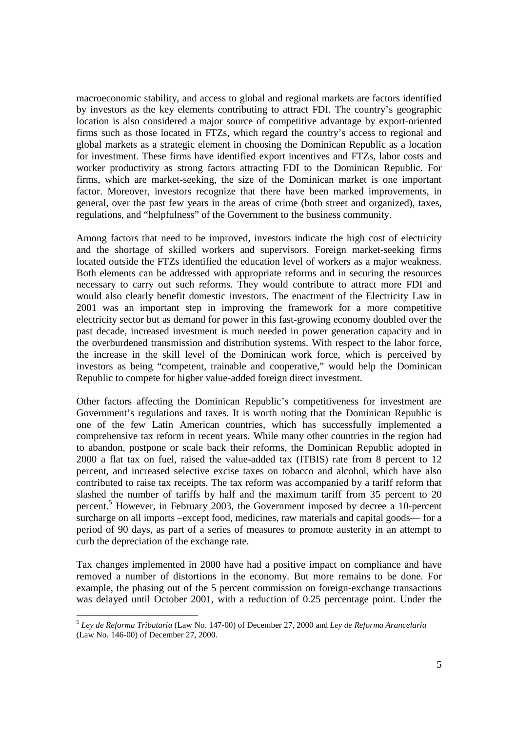macroeconomic stability, and access to global and regional markets are factors identified by investors as the key elements contributing to attract FDI. The country's geographic location is also considered a major source of competitive advantage by export-oriented firms such as those located in FTZs, which regard the country's access to regional and global markets as a strategic element in choosing the Dominican Republic as a location for investment. These firms have identified export incentives and FTZs, labor costs and worker productivity as strong factors attracting FDI to the Dominican Republic. For firms, which are market-seeking, the size of the Dominican market is one important factor. Moreover, investors recognize that there have been marked improvements, in general, over the past few years in the areas of crime (both street and organized), taxes, regulations, and "helpfulness" of the Government to the business community.

Among factors that need to be improved, investors indicate the high cost of electricity and the shortage of skilled workers and supervisors. Foreign market-seeking firms located outside the FTZs identified the education level of workers as a major weakness. Both elements can be addressed with appropriate reforms and in securing the resources necessary to carry out such reforms. They would contribute to attract more FDI and would also clearly benefit domestic investors. The enactment of the Electricity Law in 2001 was an important step in improving the framework for a more competitive electricity sector but as demand for power in this fast-growing economy doubled over the past decade, increased investment is much needed in power generation capacity and in the overburdened transmission and distribution systems. With respect to the labor force, the increase in the skill level of the Dominican work force, which is perceived by investors as being "competent, trainable and cooperative," would help the Dominican Republic to compete for higher value-added foreign direct investment.

Other factors affecting the Dominican Republic's competitiveness for investment are Government's regulations and taxes. It is worth noting that the Dominican Republic is one of the few Latin American countries, which has successfully implemented a comprehensive tax reform in recent years. While many other countries in the region had to abandon, postpone or scale back their reforms, the Dominican Republic adopted in 2000 a flat tax on fuel, raised the value-added tax (ITBIS) rate from 8 percent to 12 percent, and increased selective excise taxes on tobacco and alcohol, which have also contributed to raise tax receipts. The tax reform was accompanied by a tariff reform that slashed the number of tariffs by half and the maximum tariff from 35 percent to 20 percent.<sup>5</sup> However, in February 2003, the Government imposed by decree a 10-percent surcharge on all imports –except food, medicines, raw materials and capital goods— for a period of 90 days, as part of a series of measures to promote austerity in an attempt to curb the depreciation of the exchange rate.

Tax changes implemented in 2000 have had a positive impact on compliance and have removed a number of distortions in the economy. But more remains to be done. For example, the phasing out of the 5 percent commission on foreign-exchange transactions was delayed until October 2001, with a reduction of 0.25 percentage point. Under the

<sup>&</sup>lt;u>.</u> <sup>5</sup> *Ley de Reforma Tributaria* (Law No. 147-00) of December 27, 2000 and *Ley de Reforma Arancelaria* (Law No. 146-00) of December 27, 2000.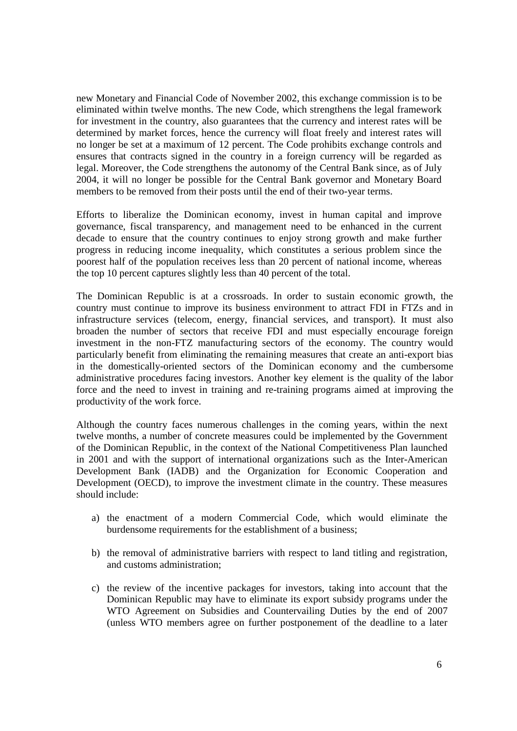new Monetary and Financial Code of November 2002, this exchange commission is to be eliminated within twelve months. The new Code, which strengthens the legal framework for investment in the country, also guarantees that the currency and interest rates will be determined by market forces, hence the currency will float freely and interest rates will no longer be set at a maximum of 12 percent. The Code prohibits exchange controls and ensures that contracts signed in the country in a foreign currency will be regarded as legal. Moreover, the Code strengthens the autonomy of the Central Bank since, as of July 2004, it will no longer be possible for the Central Bank governor and Monetary Board members to be removed from their posts until the end of their two-year terms.

Efforts to liberalize the Dominican economy, invest in human capital and improve governance, fiscal transparency, and management need to be enhanced in the current decade to ensure that the country continues to enjoy strong growth and make further progress in reducing income inequality, which constitutes a serious problem since the poorest half of the population receives less than 20 percent of national income, whereas the top 10 percent captures slightly less than 40 percent of the total.

The Dominican Republic is at a crossroads. In order to sustain economic growth, the country must continue to improve its business environment to attract FDI in FTZs and in infrastructure services (telecom, energy, financial services, and transport). It must also broaden the number of sectors that receive FDI and must especially encourage foreign investment in the non-FTZ manufacturing sectors of the economy. The country would particularly benefit from eliminating the remaining measures that create an anti-export bias in the domestically-oriented sectors of the Dominican economy and the cumbersome administrative procedures facing investors. Another key element is the quality of the labor force and the need to invest in training and re-training programs aimed at improving the productivity of the work force.

Although the country faces numerous challenges in the coming years, within the next twelve months, a number of concrete measures could be implemented by the Government of the Dominican Republic, in the context of the National Competitiveness Plan launched in 2001 and with the support of international organizations such as the Inter-American Development Bank (IADB) and the Organization for Economic Cooperation and Development (OECD), to improve the investment climate in the country. These measures should include:

- a) the enactment of a modern Commercial Code, which would eliminate the burdensome requirements for the establishment of a business;
- b) the removal of administrative barriers with respect to land titling and registration, and customs administration;
- c) the review of the incentive packages for investors, taking into account that the Dominican Republic may have to eliminate its export subsidy programs under the WTO Agreement on Subsidies and Countervailing Duties by the end of 2007 (unless WTO members agree on further postponement of the deadline to a later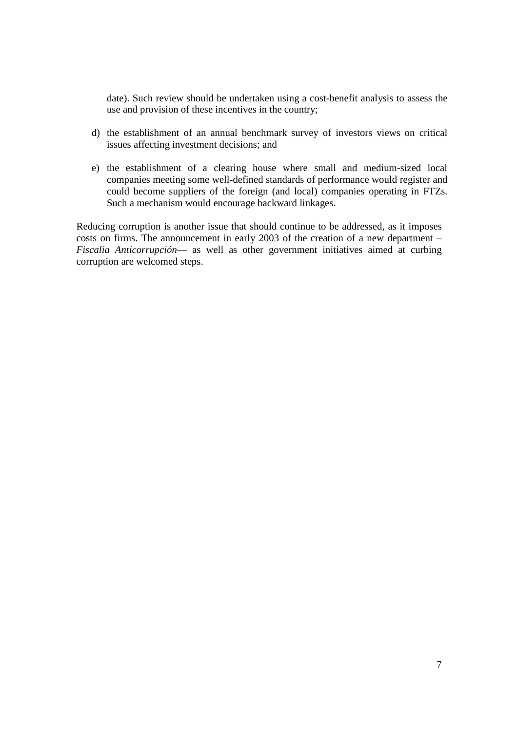date). Such review should be undertaken using a cost-benefit analysis to assess the use and provision of these incentives in the country;

- d) the establishment of an annual benchmark survey of investors views on critical issues affecting investment decisions; and
- e) the establishment of a clearing house where small and medium-sized local companies meeting some well-defined standards of performance would register and could become suppliers of the foreign (and local) companies operating in FTZs. Such a mechanism would encourage backward linkages.

Reducing corruption is another issue that should continue to be addressed, as it imposes costs on firms. The announcement in early 2003 of the creation of a new department – *Fiscalia Anticorrupción*— as well as other government initiatives aimed at curbing corruption are welcomed steps.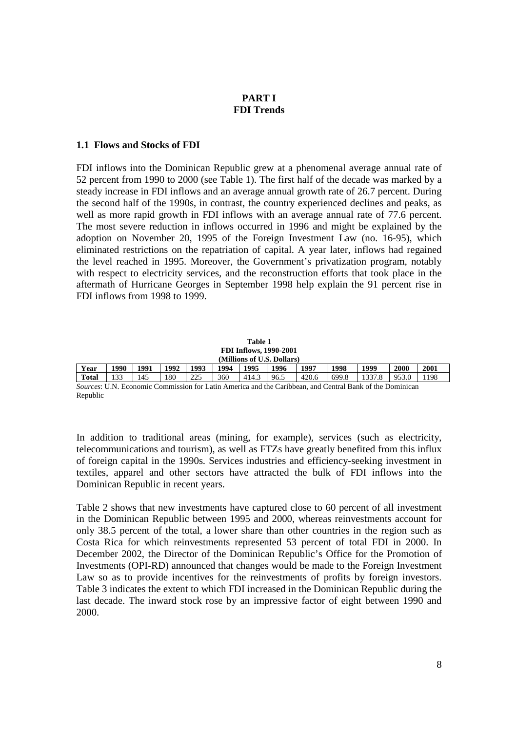## **PART I FDI Trends**

#### **1.1 Flows and Stocks of FDI**

FDI inflows into the Dominican Republic grew at a phenomenal average annual rate of 52 percent from 1990 to 2000 (see Table 1). The first half of the decade was marked by a steady increase in FDI inflows and an average annual growth rate of 26.7 percent. During the second half of the 1990s, in contrast, the country experienced declines and peaks, as well as more rapid growth in FDI inflows with an average annual rate of 77.6 percent. The most severe reduction in inflows occurred in 1996 and might be explained by the adoption on November 20, 1995 of the Foreign Investment Law (no. 16-95), which eliminated restrictions on the repatriation of capital. A year later, inflows had regained the level reached in 1995. Moreover, the Government's privatization program, notably with respect to electricity services, and the reconstruction efforts that took place in the aftermath of Hurricane Georges in September 1998 help explain the 91 percent rise in FDI inflows from 1998 to 1999.

| Table 1                       |  |  |  |  |  |  |
|-------------------------------|--|--|--|--|--|--|
| <b>FDI Inflows, 1990-2001</b> |  |  |  |  |  |  |
| (Millions of U.S. Dollars)    |  |  |  |  |  |  |

| Year                                                                                                                                                 | 1990 | 1991 | 1992 | 1993 | 1994 | 1995  | 1996 | 1997  | 1998  | 1999   | 2000  | 2001 |
|------------------------------------------------------------------------------------------------------------------------------------------------------|------|------|------|------|------|-------|------|-------|-------|--------|-------|------|
| <b>Total</b>                                                                                                                                         | 133  | 145  | 180  | 225  | 360  | 414.3 | 96.5 | 420.6 | 699.8 | 1337.8 | 953.0 | 1198 |
| $\beta$ . The H $\beta$ H $\beta$ is the contraction for Let $\beta$ and $\beta$ and the Contribution and Contract $\beta$ and $\beta$ the Dominical |      |      |      |      |      |       |      |       |       |        |       |      |

*Sources*: U.N. Economic Commission for Latin America and the Caribbean, and Central Bank of the Dominican Republic

In addition to traditional areas (mining, for example), services (such as electricity, telecommunications and tourism), as well as FTZs have greatly benefited from this influx of foreign capital in the 1990s. Services industries and efficiency-seeking investment in textiles, apparel and other sectors have attracted the bulk of FDI inflows into the Dominican Republic in recent years.

Table 2 shows that new investments have captured close to 60 percent of all investment in the Dominican Republic between 1995 and 2000, whereas reinvestments account for only 38.5 percent of the total, a lower share than other countries in the region such as Costa Rica for which reinvestments represented 53 percent of total FDI in 2000. In December 2002, the Director of the Dominican Republic's Office for the Promotion of Investments (OPI-RD) announced that changes would be made to the Foreign Investment Law so as to provide incentives for the reinvestments of profits by foreign investors. Table 3 indicates the extent to which FDI increased in the Dominican Republic during the last decade. The inward stock rose by an impressive factor of eight between 1990 and 2000.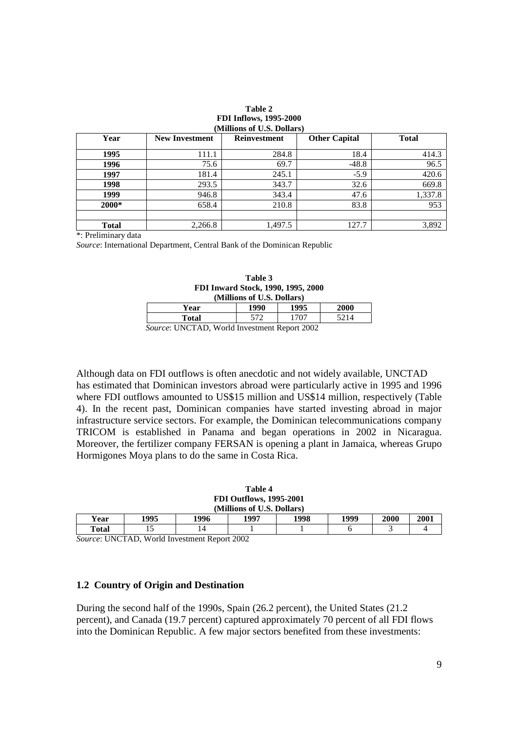| Table 2                       |  |  |  |  |  |  |
|-------------------------------|--|--|--|--|--|--|
| <b>FDI Inflows, 1995-2000</b> |  |  |  |  |  |  |
| (Millions of U.S. Dollars)    |  |  |  |  |  |  |

| (TATHINDIIS OL U.S. DOHALS) |                       |                     |                      |              |  |  |  |  |  |  |
|-----------------------------|-----------------------|---------------------|----------------------|--------------|--|--|--|--|--|--|
| Year                        | <b>New Investment</b> | <b>Reinvestment</b> | <b>Other Capital</b> | <b>Total</b> |  |  |  |  |  |  |
| 1995                        | 111.1                 | 284.8               | 18.4                 | 414.3        |  |  |  |  |  |  |
| 1996                        | 75.6                  | 69.7                | $-48.8$              | 96.5         |  |  |  |  |  |  |
| 1997                        | 181.4                 | 245.1               | $-5.9$               | 420.6        |  |  |  |  |  |  |
| 1998                        | 293.5                 | 343.7               | 32.6                 | 669.8        |  |  |  |  |  |  |
| 1999                        | 946.8                 | 343.4               | 47.6                 | 1,337.8      |  |  |  |  |  |  |
| 2000*                       | 658.4                 | 210.8               | 83.8                 | 953          |  |  |  |  |  |  |
|                             |                       |                     |                      |              |  |  |  |  |  |  |
| Total                       | 2,266.8               | 1,497.5             | 127.7                | 3,892        |  |  |  |  |  |  |

\*: Preliminary data

*Source*: International Department, Central Bank of the Dominican Republic

| Table 3                            |  |  |  |  |  |  |
|------------------------------------|--|--|--|--|--|--|
| FDI Inward Stock, 1990, 1995, 2000 |  |  |  |  |  |  |
| (Millions of U.S. Dollars)         |  |  |  |  |  |  |

| Year                      | 1990 | 1005 | <b>2000</b> |  |  |  |  |  |
|---------------------------|------|------|-------------|--|--|--|--|--|
| Total                     | 570  | .707 |             |  |  |  |  |  |
| THIOPLE IT!<br>$\sqrt{ }$ |      |      |             |  |  |  |  |  |

 *Source*: UNCTAD, World Investment Report 2002

Although data on FDI outflows is often anecdotic and not widely available, UNCTAD has estimated that Dominican investors abroad were particularly active in 1995 and 1996 where FDI outflows amounted to US\$15 million and US\$14 million, respectively (Table 4). In the recent past, Dominican companies have started investing abroad in major infrastructure service sectors. For example, the Dominican telecommunications company TRICOM is established in Panama and began operations in 2002 in Nicaragua. Moreover, the fertilizer company FERSAN is opening a plant in Jamaica, whereas Grupo Hormigones Moya plans to do the same in Costa Rica.

#### **Table 4 FDI Outflows, 1995-2001 (Millions of U.S. Dollars)**

| (WHIIIOIIS OL U.S. DOHALS) |      |      |      |      |      |      |      |  |  |
|----------------------------|------|------|------|------|------|------|------|--|--|
| rear                       | 1995 | 1996 | 1997 | 1998 | 1999 | 2000 | 2001 |  |  |
| <b>Total</b>               |      |      |      |      |      |      |      |  |  |

*Source*: UNCTAD, World Investment Report 2002

#### **1.2 Country of Origin and Destination**

During the second half of the 1990s, Spain (26.2 percent), the United States (21.2 percent), and Canada (19.7 percent) captured approximately 70 percent of all FDI flows into the Dominican Republic. A few major sectors benefited from these investments: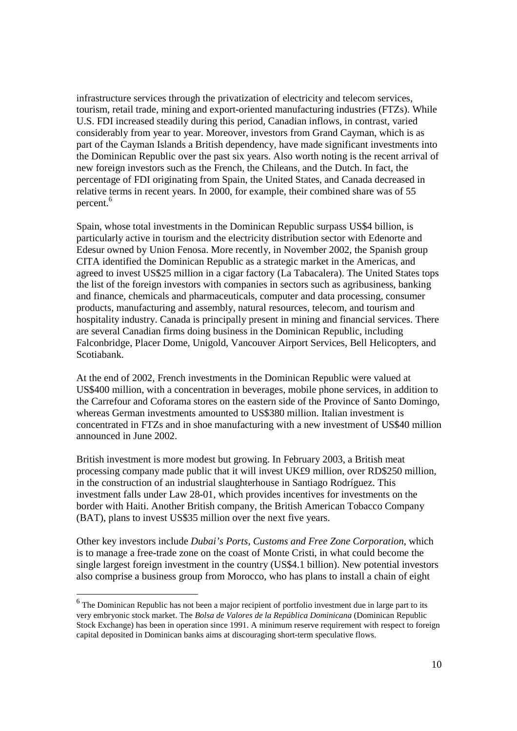infrastructure services through the privatization of electricity and telecom services, tourism, retail trade, mining and export-oriented manufacturing industries (FTZs). While U.S. FDI increased steadily during this period, Canadian inflows, in contrast, varied considerably from year to year. Moreover, investors from Grand Cayman, which is as part of the Cayman Islands a British dependency, have made significant investments into the Dominican Republic over the past six years. Also worth noting is the recent arrival of new foreign investors such as the French, the Chileans, and the Dutch. In fact, the percentage of FDI originating from Spain, the United States, and Canada decreased in relative terms in recent years. In 2000, for example, their combined share was of 55 percent.<sup>6</sup>

Spain, whose total investments in the Dominican Republic surpass US\$4 billion, is particularly active in tourism and the electricity distribution sector with Edenorte and Edesur owned by Union Fenosa. More recently, in November 2002, the Spanish group CITA identified the Dominican Republic as a strategic market in the Americas, and agreed to invest US\$25 million in a cigar factory (La Tabacalera). The United States tops the list of the foreign investors with companies in sectors such as agribusiness, banking and finance, chemicals and pharmaceuticals, computer and data processing, consumer products, manufacturing and assembly, natural resources, telecom, and tourism and hospitality industry. Canada is principally present in mining and financial services. There are several Canadian firms doing business in the Dominican Republic, including Falconbridge, Placer Dome, Unigold, Vancouver Airport Services, Bell Helicopters, and Scotiabank.

At the end of 2002, French investments in the Dominican Republic were valued at US\$400 million, with a concentration in beverages, mobile phone services, in addition to the Carrefour and Coforama stores on the eastern side of the Province of Santo Domingo, whereas German investments amounted to US\$380 million. Italian investment is concentrated in FTZs and in shoe manufacturing with a new investment of US\$40 million announced in June 2002.

British investment is more modest but growing. In February 2003, a British meat processing company made public that it will invest UK£9 million, over RD\$250 million, in the construction of an industrial slaughterhouse in Santiago Rodríguez. This investment falls under Law 28-01, which provides incentives for investments on the border with Haiti. Another British company, the British American Tobacco Company (BAT), plans to invest US\$35 million over the next five years.

Other key investors include *Dubai's Ports, Customs and Free Zone Corporation*, which is to manage a free-trade zone on the coast of Monte Cristi, in what could become the single largest foreign investment in the country (US\$4.1 billion). New potential investors also comprise a business group from Morocco, who has plans to install a chain of eight

-

<sup>&</sup>lt;sup>6</sup> The Dominican Republic has not been a major recipient of portfolio investment due in large part to its very embryonic stock market. The *Bolsa de Valores de la República Dominicana* (Dominican Republic Stock Exchange) has been in operation since 1991. A minimum reserve requirement with respect to foreign capital deposited in Dominican banks aims at discouraging short-term speculative flows.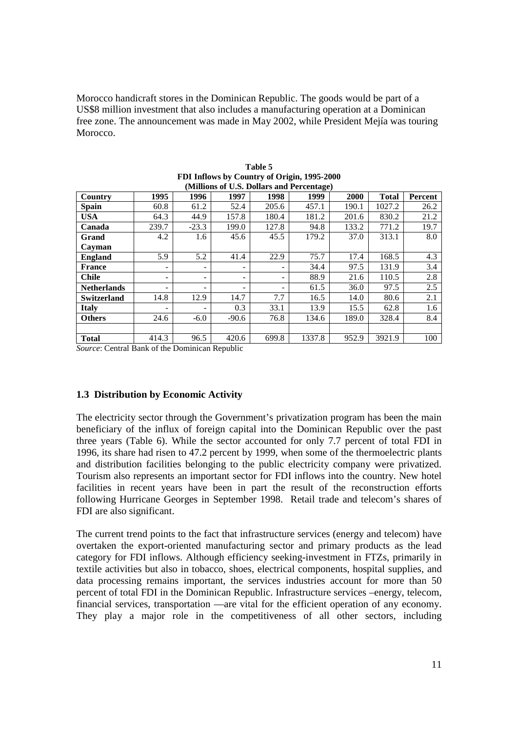Morocco handicraft stores in the Dominican Republic. The goods would be part of a US\$8 million investment that also includes a manufacturing operation at a Dominican free zone. The announcement was made in May 2002, while President Mejía was touring **Morocco** 

| (Millions of U.S. Dollars and Percentage) |                          |                          |                              |                          |        |       |              |         |  |  |
|-------------------------------------------|--------------------------|--------------------------|------------------------------|--------------------------|--------|-------|--------------|---------|--|--|
| Country                                   | 1995                     | 1996                     | 1997                         | 1998                     | 1999   | 2000  | <b>Total</b> | Percent |  |  |
| <b>Spain</b>                              | 60.8                     | 61.2                     | 52.4                         | 205.6                    | 457.1  | 190.1 | 1027.2       | 26.2    |  |  |
| <b>USA</b>                                | 64.3                     | 44.9                     | 157.8                        | 180.4                    | 181.2  | 201.6 | 830.2        | 21.2    |  |  |
| Canada                                    | 239.7                    | $-23.3$                  | 199.0                        | 127.8                    | 94.8   | 133.2 | 771.2        | 19.7    |  |  |
| Grand                                     | 4.2                      | 1.6                      | 45.6                         | 45.5                     | 179.2  | 37.0  | 313.1        | 8.0     |  |  |
| Cayman                                    |                          |                          |                              |                          |        |       |              |         |  |  |
| <b>England</b>                            | 5.9                      | 5.2                      | 41.4                         | 22.9                     | 75.7   | 17.4  | 168.5        | 4.3     |  |  |
| <b>France</b>                             | ۰                        | -                        | $\qquad \qquad \blacksquare$ | $\overline{\phantom{a}}$ | 34.4   | 97.5  | 131.9        | 3.4     |  |  |
| <b>Chile</b>                              | ۰                        | $\overline{\phantom{a}}$ | ۰                            | $\overline{\phantom{0}}$ | 88.9   | 21.6  | 110.5        | 2.8     |  |  |
| <b>Netherlands</b>                        | ۰                        | $\overline{\phantom{a}}$ | $\overline{\phantom{0}}$     | ۰                        | 61.5   | 36.0  | 97.5         | 2.5     |  |  |
| <b>Switzerland</b>                        | 14.8                     | 12.9                     | 14.7                         | 7.7                      | 16.5   | 14.0  | 80.6         | 2.1     |  |  |
| <b>Italy</b>                              | $\overline{\phantom{0}}$ | $\overline{\phantom{a}}$ | 0.3                          | 33.1                     | 13.9   | 15.5  | 62.8         | 1.6     |  |  |
| <b>Others</b>                             | 24.6                     | $-6.0$                   | $-90.6$                      | 76.8                     | 134.6  | 189.0 | 328.4        | 8.4     |  |  |
|                                           |                          |                          |                              |                          |        |       |              |         |  |  |
| <b>Total</b>                              | 414.3                    | 96.5                     | 420.6                        | 699.8                    | 1337.8 | 952.9 | 3921.9       | 100     |  |  |

| Table 5                                     |
|---------------------------------------------|
| FDI Inflows by Country of Origin, 1995-2000 |
| (Millions of IIS Dollars and Percentage)    |

*Source*: Central Bank of the Dominican Republic

#### **1.3 Distribution by Economic Activity**

The electricity sector through the Government's privatization program has been the main beneficiary of the influx of foreign capital into the Dominican Republic over the past three years (Table 6). While the sector accounted for only 7.7 percent of total FDI in 1996, its share had risen to 47.2 percent by 1999, when some of the thermoelectric plants and distribution facilities belonging to the public electricity company were privatized. Tourism also represents an important sector for FDI inflows into the country. New hotel facilities in recent years have been in part the result of the reconstruction efforts following Hurricane Georges in September 1998. Retail trade and telecom's shares of FDI are also significant.

The current trend points to the fact that infrastructure services (energy and telecom) have overtaken the export-oriented manufacturing sector and primary products as the lead category for FDI inflows. Although efficiency seeking-investment in FTZs, primarily in textile activities but also in tobacco, shoes, electrical components, hospital supplies, and data processing remains important, the services industries account for more than 50 percent of total FDI in the Dominican Republic. Infrastructure services –energy, telecom, financial services, transportation —are vital for the efficient operation of any economy. They play a major role in the competitiveness of all other sectors, including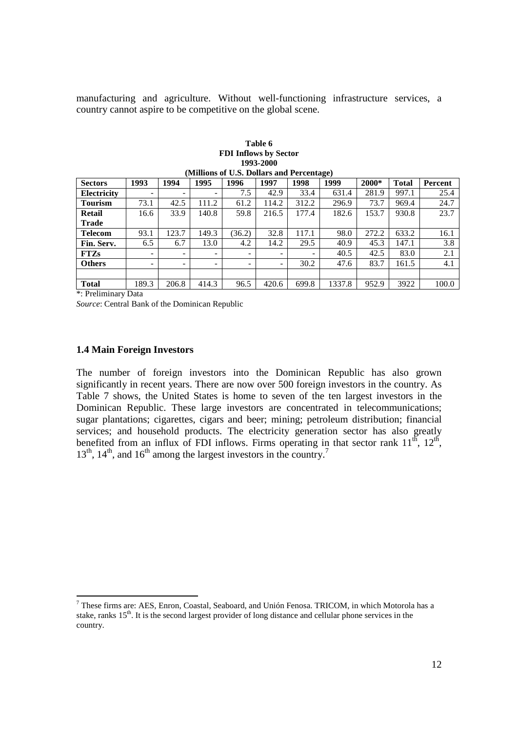manufacturing and agriculture. Without well-functioning infrastructure services, a country cannot aspire to be competitive on the global scene.

| (Millions of U.S. Dollars and Percentage) |                          |                          |       |        |       |       |        |       |              |         |
|-------------------------------------------|--------------------------|--------------------------|-------|--------|-------|-------|--------|-------|--------------|---------|
| <b>Sectors</b>                            | 1993                     | 1994                     | 1995  | 1996   | 1997  | 1998  | 1999   | 2000* | <b>Total</b> | Percent |
| Electricity                               | $\overline{\phantom{a}}$ | -                        | -     | 7.5    | 42.9  | 33.4  | 631.4  | 281.9 | 997.1        | 25.4    |
| <b>Tourism</b>                            | 73.1                     | 42.5                     | 111.2 | 61.2   | 114.2 | 312.2 | 296.9  | 73.7  | 969.4        | 24.7    |
| <b>Retail</b>                             | 16.6                     | 33.9                     | 140.8 | 59.8   | 216.5 | 177.4 | 182.6  | 153.7 | 930.8        | 23.7    |
| <b>Trade</b>                              |                          |                          |       |        |       |       |        |       |              |         |
| <b>Telecom</b>                            | 93.1                     | 123.7                    | 149.3 | (36.2) | 32.8  | 117.1 | 98.0   | 272.2 | 633.2        | 16.1    |
| Fin. Serv.                                | 6.5                      | 6.7                      | 13.0  | 4.2    | 14.2  | 29.5  | 40.9   | 45.3  | 147.1        | 3.8     |
| <b>FTZs</b>                               | $\overline{\phantom{a}}$ | $\overline{\phantom{a}}$ | -     |        | -     | ۰     | 40.5   | 42.5  | 83.0         | 2.1     |
| <b>Others</b>                             | $\overline{\phantom{a}}$ | -                        | -     |        | -     | 30.2  | 47.6   | 83.7  | 161.5        | 4.1     |
|                                           |                          |                          |       |        |       |       |        |       |              |         |
| <b>Total</b>                              | 189.3                    | 206.8                    | 414.3 | 96.5   | 420.6 | 699.8 | 1337.8 | 952.9 | 3922         | 100.0   |

| Table 6                              |
|--------------------------------------|
| <b>FDI Inflows by Sector</b>         |
| 1993-2000                            |
| lions of U.S. Dollars and Percentago |

\*: Preliminary Data

-

*Source*: Central Bank of the Dominican Republic

#### **1.4 Main Foreign Investors**

The number of foreign investors into the Dominican Republic has also grown significantly in recent years. There are now over 500 foreign investors in the country. As Table 7 shows, the United States is home to seven of the ten largest investors in the Dominican Republic. These large investors are concentrated in telecommunications; sugar plantations; cigarettes, cigars and beer; mining; petroleum distribution; financial services; and household products. The electricity generation sector has also greatly benefited from an influx of FDI inflows. Firms operating in that sector rank  $11^{th}$ ,  $12^{th}$ ,  $13<sup>th</sup>$ ,  $14<sup>th</sup>$ , and  $16<sup>th</sup>$  among the largest investors in the country.<sup>7</sup>

<sup>&</sup>lt;sup>7</sup> These firms are: AES, Enron, Coastal, Seaboard, and Unión Fenosa. TRICOM, in which Motorola has a stake, ranks  $15<sup>th</sup>$ . It is the second largest provider of long distance and cellular phone services in the country.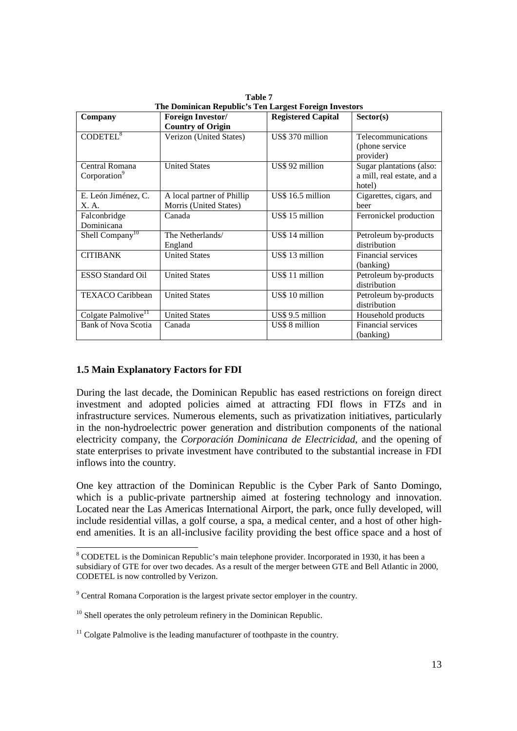| Company                                    | <b>Foreign Investor/</b><br><b>Country of Origin</b> | <b>Registered Capital</b> | Sector(s)                                                        |
|--------------------------------------------|------------------------------------------------------|---------------------------|------------------------------------------------------------------|
| CODETEL <sup>8</sup>                       | Verizon (United States)                              | US\$ 370 million          | Telecommunications<br>(phone service)<br>provider)               |
| Central Romana<br>Corporation <sup>9</sup> | <b>United States</b>                                 | US\$ 92 million           | Sugar plantations (also:<br>a mill, real estate, and a<br>hotel) |
| E. León Jiménez, C.<br>X. A.               | A local partner of Phillip<br>Morris (United States) | US\$ 16.5 million         | Cigarettes, cigars, and<br>beer                                  |
| Falconbridge<br>Dominicana                 | Canada                                               | US\$ 15 million           | Ferronickel production                                           |
| Shell Company <sup>10</sup>                | The Netherlands/<br>England                          | US\$ 14 million           | Petroleum by-products<br>distribution                            |
| <b>CITIBANK</b>                            | <b>United States</b>                                 | US\$ 13 million           | Financial services<br>(banking)                                  |
| <b>ESSO</b> Standard Oil                   | <b>United States</b>                                 | US\$ 11 million           | Petroleum by-products<br>distribution                            |
| <b>TEXACO</b> Caribbean                    | <b>United States</b>                                 | US\$ 10 million           | Petroleum by-products<br>distribution                            |
| Colgate Palmolive <sup>11</sup>            | <b>United States</b>                                 | US\$ 9.5 million          | Household products                                               |
| Bank of Nova Scotia                        | Canada                                               | US\$ 8 million            | Financial services<br>(banking)                                  |

**Table 7 The Dominican Republic's Ten Largest Foreign Investors** 

## **1.5 Main Explanatory Factors for FDI**

During the last decade, the Dominican Republic has eased restrictions on foreign direct investment and adopted policies aimed at attracting FDI flows in FTZs and in infrastructure services. Numerous elements, such as privatization initiatives, particularly in the non-hydroelectric power generation and distribution components of the national electricity company, the *Corporación Dominicana de Electricidad*, and the opening of state enterprises to private investment have contributed to the substantial increase in FDI inflows into the country.

One key attraction of the Dominican Republic is the Cyber Park of Santo Domingo, which is a public-private partnership aimed at fostering technology and innovation. Located near the Las Americas International Airport, the park, once fully developed, will include residential villas, a golf course, a spa, a medical center, and a host of other highend amenities. It is an all-inclusive facility providing the best office space and a host of

<sup>&</sup>lt;sup>8</sup> CODETEL is the Dominican Republic's main telephone provider. Incorporated in 1930, it has been a subsidiary of GTE for over two decades. As a result of the merger between GTE and Bell Atlantic in 2000, CODETEL is now controlled by Verizon.

<sup>&</sup>lt;sup>9</sup> Central Romana Corporation is the largest private sector employer in the country.

 $10$  Shell operates the only petroleum refinery in the Dominican Republic.

 $11$  Colgate Palmolive is the leading manufacturer of toothpaste in the country.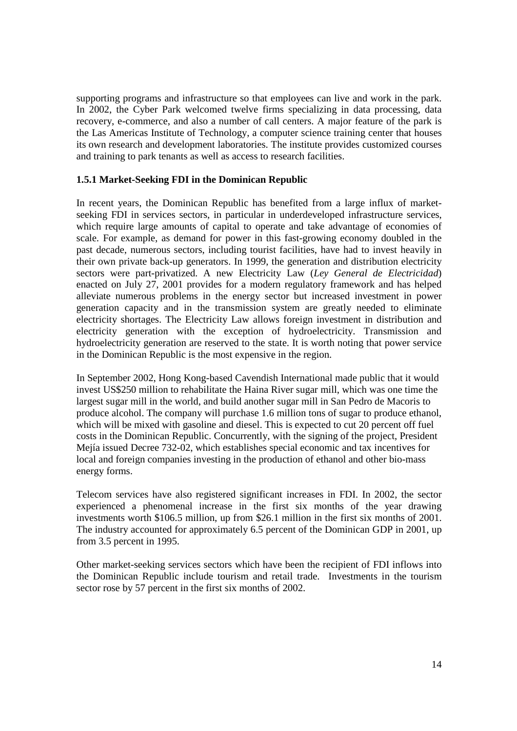supporting programs and infrastructure so that employees can live and work in the park. In 2002, the Cyber Park welcomed twelve firms specializing in data processing, data recovery, e-commerce, and also a number of call centers. A major feature of the park is the Las Americas Institute of Technology, a computer science training center that houses its own research and development laboratories. The institute provides customized courses and training to park tenants as well as access to research facilities.

## **1.5.1 Market-Seeking FDI in the Dominican Republic**

In recent years, the Dominican Republic has benefited from a large influx of marketseeking FDI in services sectors, in particular in underdeveloped infrastructure services, which require large amounts of capital to operate and take advantage of economies of scale. For example, as demand for power in this fast-growing economy doubled in the past decade, numerous sectors, including tourist facilities, have had to invest heavily in their own private back-up generators. In 1999, the generation and distribution electricity sectors were part-privatized. A new Electricity Law (*Ley General de Electricidad*) enacted on July 27, 2001 provides for a modern regulatory framework and has helped alleviate numerous problems in the energy sector but increased investment in power generation capacity and in the transmission system are greatly needed to eliminate electricity shortages. The Electricity Law allows foreign investment in distribution and electricity generation with the exception of hydroelectricity. Transmission and hydroelectricity generation are reserved to the state. It is worth noting that power service in the Dominican Republic is the most expensive in the region.

In September 2002, Hong Kong-based Cavendish International made public that it would invest US\$250 million to rehabilitate the Haina River sugar mill, which was one time the largest sugar mill in the world, and build another sugar mill in San Pedro de Macoris to produce alcohol. The company will purchase 1.6 million tons of sugar to produce ethanol, which will be mixed with gasoline and diesel. This is expected to cut 20 percent off fuel costs in the Dominican Republic. Concurrently, with the signing of the project, President Mejía issued Decree 732-02, which establishes special economic and tax incentives for local and foreign companies investing in the production of ethanol and other bio-mass energy forms.

Telecom services have also registered significant increases in FDI. In 2002, the sector experienced a phenomenal increase in the first six months of the year drawing investments worth \$106.5 million, up from \$26.1 million in the first six months of 2001. The industry accounted for approximately 6.5 percent of the Dominican GDP in 2001, up from 3.5 percent in 1995.

Other market-seeking services sectors which have been the recipient of FDI inflows into the Dominican Republic include tourism and retail trade. Investments in the tourism sector rose by 57 percent in the first six months of 2002.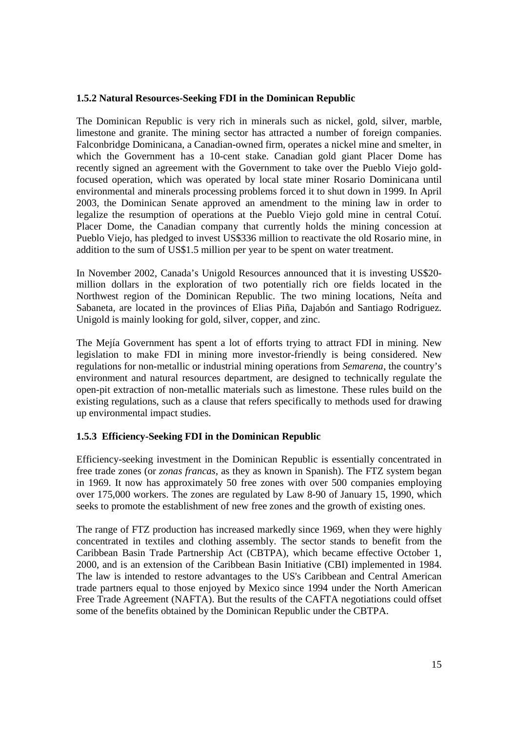## **1.5.2 Natural Resources-Seeking FDI in the Dominican Republic**

The Dominican Republic is very rich in minerals such as nickel, gold, silver, marble, limestone and granite. The mining sector has attracted a number of foreign companies. Falconbridge Dominicana, a Canadian-owned firm, operates a nickel mine and smelter, in which the Government has a 10-cent stake. Canadian gold giant Placer Dome has recently signed an agreement with the Government to take over the Pueblo Viejo goldfocused operation, which was operated by local state miner Rosario Dominicana until environmental and minerals processing problems forced it to shut down in 1999. In April 2003, the Dominican Senate approved an amendment to the mining law in order to legalize the resumption of operations at the Pueblo Viejo gold mine in central Cotuí. Placer Dome, the Canadian company that currently holds the mining concession at Pueblo Viejo, has pledged to invest US\$336 million to reactivate the old Rosario mine, in addition to the sum of US\$1.5 million per year to be spent on water treatment.

In November 2002, Canada's Unigold Resources announced that it is investing US\$20 million dollars in the exploration of two potentially rich ore fields located in the Northwest region of the Dominican Republic. The two mining locations, Neíta and Sabaneta, are located in the provinces of Elias Piña, Dajabón and Santiago Rodriguez. Unigold is mainly looking for gold, silver, copper, and zinc.

The Mejía Government has spent a lot of efforts trying to attract FDI in mining. New legislation to make FDI in mining more investor-friendly is being considered. New regulations for non-metallic or industrial mining operations from *Semarena*, the country's environment and natural resources department, are designed to technically regulate the open-pit extraction of non-metallic materials such as limestone. These rules build on the existing regulations, such as a clause that refers specifically to methods used for drawing up environmental impact studies.

## **1.5.3 Efficiency-Seeking FDI in the Dominican Republic**

Efficiency-seeking investment in the Dominican Republic is essentially concentrated in free trade zones (or *zonas francas*, as they as known in Spanish). The FTZ system began in 1969. It now has approximately 50 free zones with over 500 companies employing over 175,000 workers. The zones are regulated by Law 8-90 of January 15, 1990, which seeks to promote the establishment of new free zones and the growth of existing ones.

The range of FTZ production has increased markedly since 1969, when they were highly concentrated in textiles and clothing assembly. The sector stands to benefit from the Caribbean Basin Trade Partnership Act (CBTPA), which became effective October 1, 2000, and is an extension of the Caribbean Basin Initiative (CBI) implemented in 1984. The law is intended to restore advantages to the US's Caribbean and Central American trade partners equal to those enjoyed by Mexico since 1994 under the North American Free Trade Agreement (NAFTA). But the results of the CAFTA negotiations could offset some of the benefits obtained by the Dominican Republic under the CBTPA.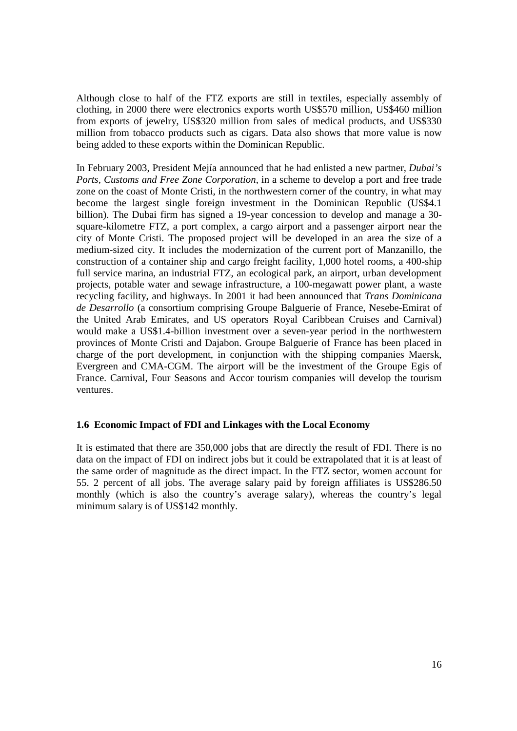Although close to half of the FTZ exports are still in textiles, especially assembly of clothing, in 2000 there were electronics exports worth US\$570 million, US\$460 million from exports of jewelry, US\$320 million from sales of medical products, and US\$330 million from tobacco products such as cigars. Data also shows that more value is now being added to these exports within the Dominican Republic.

In February 2003, President Mejía announced that he had enlisted a new partner, *Dubai's Ports, Customs and Free Zone Corporation*, in a scheme to develop a port and free trade zone on the coast of Monte Cristi, in the northwestern corner of the country, in what may become the largest single foreign investment in the Dominican Republic (US\$4.1 billion). The Dubai firm has signed a 19-year concession to develop and manage a 30 square-kilometre FTZ, a port complex, a cargo airport and a passenger airport near the city of Monte Cristi. The proposed project will be developed in an area the size of a medium-sized city. It includes the modernization of the current port of Manzanillo, the construction of a container ship and cargo freight facility, 1,000 hotel rooms, a 400-ship full service marina, an industrial FTZ, an ecological park, an airport, urban development projects, potable water and sewage infrastructure, a 100-megawatt power plant, a waste recycling facility, and highways. In 2001 it had been announced that *Trans Dominicana de Desarrollo* (a consortium comprising Groupe Balguerie of France, Nesebe-Emirat of the United Arab Emirates, and US operators Royal Caribbean Cruises and Carnival) would make a US\$1.4-billion investment over a seven-year period in the northwestern provinces of Monte Cristi and Dajabon. Groupe Balguerie of France has been placed in charge of the port development, in conjunction with the shipping companies Maersk, Evergreen and CMA-CGM. The airport will be the investment of the Groupe Egis of France. Carnival, Four Seasons and Accor tourism companies will develop the tourism ventures.

## **1.6 Economic Impact of FDI and Linkages with the Local Economy**

It is estimated that there are 350,000 jobs that are directly the result of FDI. There is no data on the impact of FDI on indirect jobs but it could be extrapolated that it is at least of the same order of magnitude as the direct impact. In the FTZ sector, women account for 55. 2 percent of all jobs. The average salary paid by foreign affiliates is US\$286.50 monthly (which is also the country's average salary), whereas the country's legal minimum salary is of US\$142 monthly.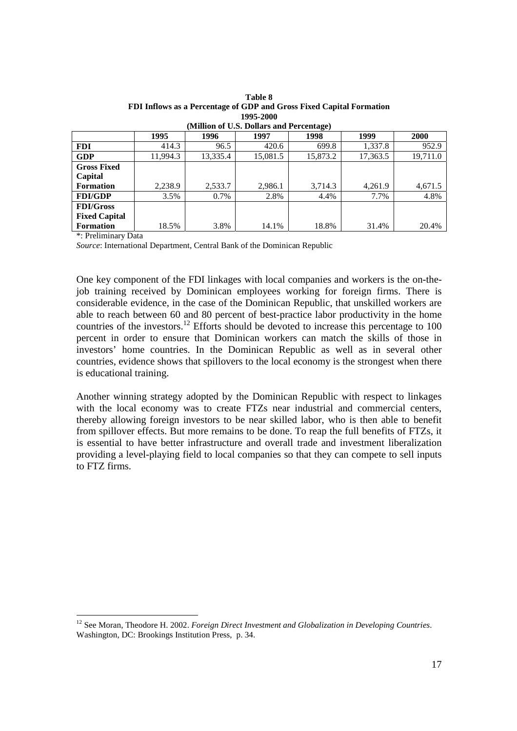|                      |          |          | (Million of U.S. Dollars and Percentage) |          |          |             |
|----------------------|----------|----------|------------------------------------------|----------|----------|-------------|
|                      | 1995     | 1996     | 1997                                     | 1998     | 1999     | <b>2000</b> |
| <b>FDI</b>           | 414.3    | 96.5     | 420.6                                    | 699.8    | 1,337.8  | 952.9       |
| <b>GDP</b>           | 11,994.3 | 13,335.4 | 15,081.5                                 | 15,873.2 | 17,363.5 | 19,711.0    |
| <b>Gross Fixed</b>   |          |          |                                          |          |          |             |
| Capital              |          |          |                                          |          |          |             |
| <b>Formation</b>     | 2,238.9  | 2,533.7  | 2,986.1                                  | 3,714.3  | 4,261.9  | 4,671.5     |
| <b>FDI/GDP</b>       | 3.5%     | 0.7%     | 2.8%                                     | 4.4%     | 7.7%     | 4.8%        |
| <b>FDI/Gross</b>     |          |          |                                          |          |          |             |
| <b>Fixed Capital</b> |          |          |                                          |          |          |             |
| <b>Formation</b>     | 18.5%    | 3.8%     | 14.1%                                    | 18.8%    | 31.4%    | 20.4%       |

**Table 8 FDI Inflows as a Percentage of GDP and Gross Fixed Capital Formation 1995-2000** 

\*: Preliminary Data

*Source*: International Department, Central Bank of the Dominican Republic

One key component of the FDI linkages with local companies and workers is the on-thejob training received by Dominican employees working for foreign firms. There is considerable evidence, in the case of the Dominican Republic, that unskilled workers are able to reach between 60 and 80 percent of best-practice labor productivity in the home countries of the investors.<sup>12</sup> Efforts should be devoted to increase this percentage to  $100$ percent in order to ensure that Dominican workers can match the skills of those in investors' home countries. In the Dominican Republic as well as in several other countries, evidence shows that spillovers to the local economy is the strongest when there is educational training.

Another winning strategy adopted by the Dominican Republic with respect to linkages with the local economy was to create FTZs near industrial and commercial centers, thereby allowing foreign investors to be near skilled labor, who is then able to benefit from spillover effects. But more remains to be done. To reap the full benefits of FTZs, it is essential to have better infrastructure and overall trade and investment liberalization providing a level-playing field to local companies so that they can compete to sell inputs to FTZ firms.

<sup>&</sup>lt;u>.</u> 12 See Moran, Theodore H. 2002. *Foreign Direct Investment and Globalization in Developing Countries*. Washington, DC: Brookings Institution Press, p. 34.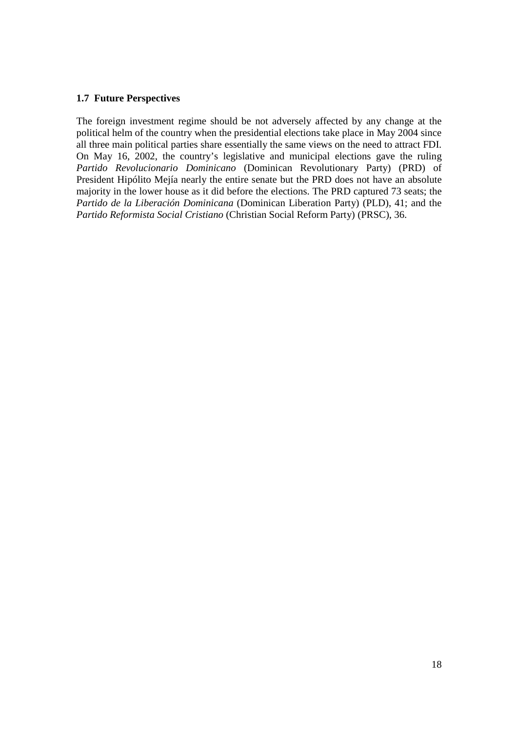## **1.7 Future Perspectives**

The foreign investment regime should be not adversely affected by any change at the political helm of the country when the presidential elections take place in May 2004 since all three main political parties share essentially the same views on the need to attract FDI. On May 16, 2002, the country's legislative and municipal elections gave the ruling *Partido Revolucionario Dominicano* (Dominican Revolutionary Party) (PRD) of President Hipólito Mejía nearly the entire senate but the PRD does not have an absolute majority in the lower house as it did before the elections. The PRD captured 73 seats; the *Partido de la Liberación Dominicana* (Dominican Liberation Party) (PLD), 41; and the *Partido Reformista Social Cristiano* (Christian Social Reform Party) (PRSC), 36.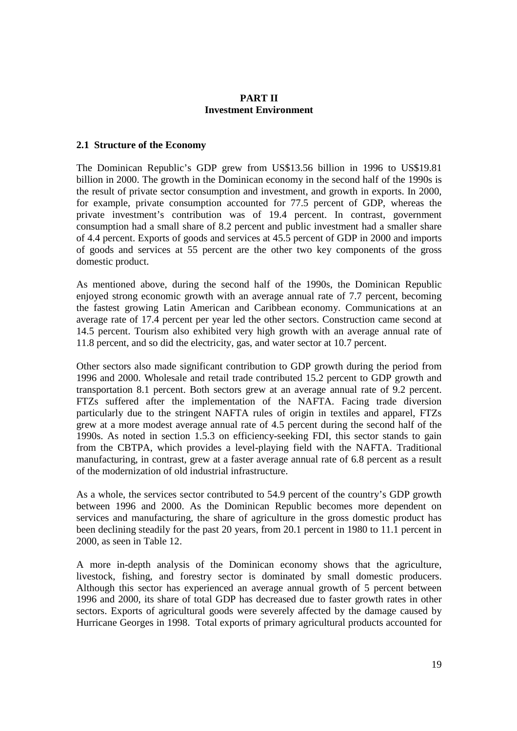## **PART II Investment Environment**

## **2.1 Structure of the Economy**

The Dominican Republic's GDP grew from US\$13.56 billion in 1996 to US\$19.81 billion in 2000. The growth in the Dominican economy in the second half of the 1990s is the result of private sector consumption and investment, and growth in exports. In 2000, for example, private consumption accounted for 77.5 percent of GDP, whereas the private investment's contribution was of 19.4 percent. In contrast, government consumption had a small share of 8.2 percent and public investment had a smaller share of 4.4 percent. Exports of goods and services at 45.5 percent of GDP in 2000 and imports of goods and services at 55 percent are the other two key components of the gross domestic product.

As mentioned above, during the second half of the 1990s, the Dominican Republic enjoyed strong economic growth with an average annual rate of 7.7 percent, becoming the fastest growing Latin American and Caribbean economy. Communications at an average rate of 17.4 percent per year led the other sectors. Construction came second at 14.5 percent. Tourism also exhibited very high growth with an average annual rate of 11.8 percent, and so did the electricity, gas, and water sector at 10.7 percent.

Other sectors also made significant contribution to GDP growth during the period from 1996 and 2000. Wholesale and retail trade contributed 15.2 percent to GDP growth and transportation 8.1 percent. Both sectors grew at an average annual rate of 9.2 percent. FTZs suffered after the implementation of the NAFTA. Facing trade diversion particularly due to the stringent NAFTA rules of origin in textiles and apparel, FTZs grew at a more modest average annual rate of 4.5 percent during the second half of the 1990s. As noted in section 1.5.3 on efficiency-seeking FDI, this sector stands to gain from the CBTPA, which provides a level-playing field with the NAFTA. Traditional manufacturing, in contrast, grew at a faster average annual rate of 6.8 percent as a result of the modernization of old industrial infrastructure.

As a whole, the services sector contributed to 54.9 percent of the country's GDP growth between 1996 and 2000. As the Dominican Republic becomes more dependent on services and manufacturing, the share of agriculture in the gross domestic product has been declining steadily for the past 20 years, from 20.1 percent in 1980 to 11.1 percent in 2000, as seen in Table 12.

A more in-depth analysis of the Dominican economy shows that the agriculture, livestock, fishing, and forestry sector is dominated by small domestic producers. Although this sector has experienced an average annual growth of 5 percent between 1996 and 2000, its share of total GDP has decreased due to faster growth rates in other sectors. Exports of agricultural goods were severely affected by the damage caused by Hurricane Georges in 1998. Total exports of primary agricultural products accounted for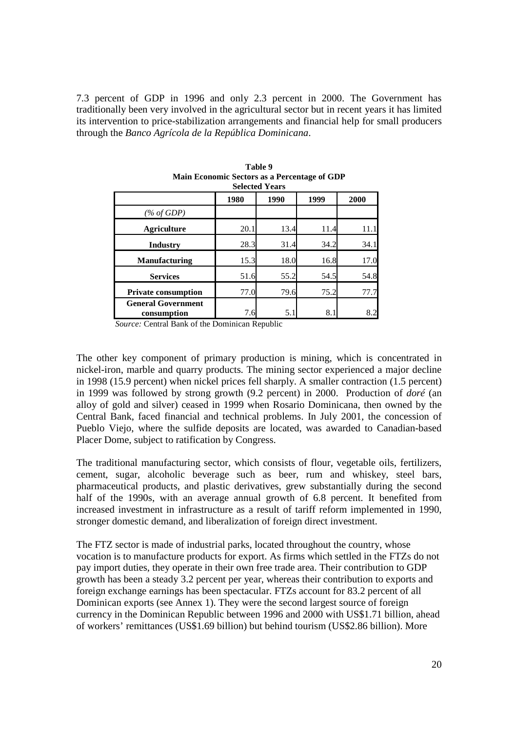7.3 percent of GDP in 1996 and only 2.3 percent in 2000. The Government has traditionally been very involved in the agricultural sector but in recent years it has limited its intervention to price-stabilization arrangements and financial help for small producers through the *Banco Agrícola de la República Dominicana*.

|                                          |      | <b>Selected Years</b> |      |      |
|------------------------------------------|------|-----------------------|------|------|
|                                          | 1980 | 1990                  | 1999 | 2000 |
| $(\%$ of GDP)                            |      |                       |      |      |
| <b>Agriculture</b>                       | 20.1 | 13.4                  | 11.4 |      |
| <b>Industry</b>                          | 28.3 | 31.4                  | 34.2 | 34.1 |
| <b>Manufacturing</b>                     | 15.3 | 18.0                  | 16.8 | 17.0 |
| <b>Services</b>                          | 51.6 | 55.2                  | 54.5 | 54.8 |
| <b>Private consumption</b>               | 77.0 | 79.6                  | 75.2 | 77.7 |
| <b>General Government</b><br>consumption | 7.6  | 5.1                   | 8.1  | 8.2  |

| Table 9                                             |
|-----------------------------------------------------|
| <b>Main Economic Sectors as a Percentage of GDP</b> |
| Soloctod Voors                                      |

*Source:* Central Bank of the Dominican Republic

The other key component of primary production is mining, which is concentrated in nickel-iron, marble and quarry products. The mining sector experienced a major decline in 1998 (15.9 percent) when nickel prices fell sharply. A smaller contraction (1.5 percent) in 1999 was followed by strong growth (9.2 percent) in 2000. Production of *doré* (an alloy of gold and silver) ceased in 1999 when Rosario Dominicana, then owned by the Central Bank, faced financial and technical problems. In July 2001, the concession of Pueblo Viejo, where the sulfide deposits are located, was awarded to Canadian-based Placer Dome, subject to ratification by Congress.

The traditional manufacturing sector, which consists of flour, vegetable oils, fertilizers, cement, sugar, alcoholic beverage such as beer, rum and whiskey, steel bars, pharmaceutical products, and plastic derivatives, grew substantially during the second half of the 1990s, with an average annual growth of 6.8 percent. It benefited from increased investment in infrastructure as a result of tariff reform implemented in 1990, stronger domestic demand, and liberalization of foreign direct investment.

The FTZ sector is made of industrial parks, located throughout the country, whose vocation is to manufacture products for export. As firms which settled in the FTZs do not pay import duties, they operate in their own free trade area. Their contribution to GDP growth has been a steady 3.2 percent per year, whereas their contribution to exports and foreign exchange earnings has been spectacular. FTZs account for 83.2 percent of all Dominican exports (see Annex 1). They were the second largest source of foreign currency in the Dominican Republic between 1996 and 2000 with US\$1.71 billion, ahead of workers' remittances (US\$1.69 billion) but behind tourism (US\$2.86 billion). More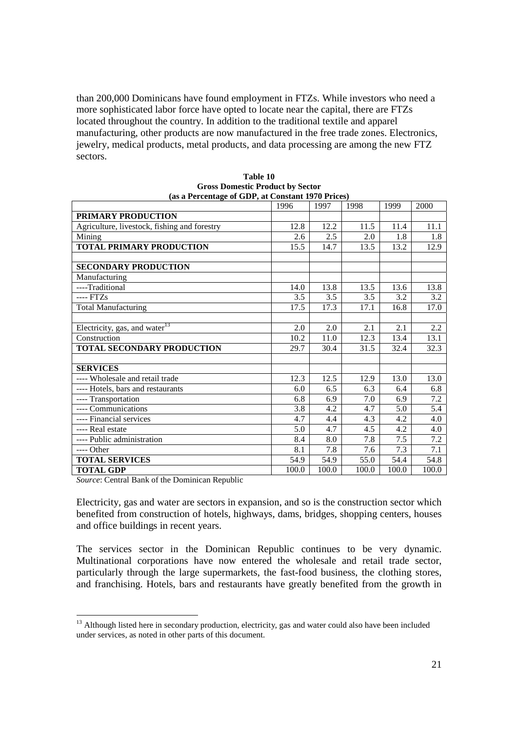than 200,000 Dominicans have found employment in FTZs. While investors who need a more sophisticated labor force have opted to locate near the capital, there are FTZs located throughout the country. In addition to the traditional textile and apparel manufacturing, other products are now manufactured in the free trade zones. Electronics, jewelry, medical products, metal products, and data processing are among the new FTZ sectors.

| (as a fercentage of GDF, at Constant 1970 Frices) |       |       |       |       |       |
|---------------------------------------------------|-------|-------|-------|-------|-------|
|                                                   | 1996  | 1997  | 1998  | 1999  | 2000  |
| <b>PRIMARY PRODUCTION</b>                         |       |       |       |       |       |
| Agriculture, livestock, fishing and forestry      | 12.8  | 12.2  | 11.5  | 11.4  | 11.1  |
| Mining                                            | 2.6   | 2.5   | 2.0   | 1.8   | 1.8   |
| <b>TOTAL PRIMARY PRODUCTION</b>                   | 15.5  | 14.7  | 13.5  | 13.2  | 12.9  |
|                                                   |       |       |       |       |       |
| <b>SECONDARY PRODUCTION</b>                       |       |       |       |       |       |
| Manufacturing                                     |       |       |       |       |       |
| ----Traditional                                   | 14.0  | 13.8  | 13.5  | 13.6  | 13.8  |
| $---$ FTZs                                        | 3.5   | 3.5   | 3.5   | 3.2   | 3.2   |
| <b>Total Manufacturing</b>                        | 17.5  | 17.3  | 17.1  | 16.8  | 17.0  |
|                                                   |       |       |       |       |       |
| Electricity, gas, and water <sup>13</sup>         | 2.0   | 2.0   | 2.1   | 2.1   | 2.2   |
| Construction                                      | 10.2  | 11.0  | 12.3  | 13.4  | 13.1  |
| <b>TOTAL SECONDARY PRODUCTION</b>                 | 29.7  | 30.4  | 31.5  | 32.4  | 32.3  |
|                                                   |       |       |       |       |       |
| <b>SERVICES</b>                                   |       |       |       |       |       |
| ---- Wholesale and retail trade                   | 12.3  | 12.5  | 12.9  | 13.0  | 13.0  |
| ---- Hotels, bars and restaurants                 | 6.0   | 6.5   | 6.3   | 6.4   | 6.8   |
| ---- Transportation                               | 6.8   | 6.9   | 7.0   | 6.9   | 7.2   |
| ---- Communications                               | 3.8   | 4.2   | 4.7   | 5.0   | 5.4   |
| ---- Financial services                           | 4.7   | 4.4   | 4.3   | 4.2   | 4.0   |
| ---- Real estate                                  | 5.0   | 4.7   | 4.5   | 4.2   | 4.0   |
| ---- Public administration                        | 8.4   | 8.0   | 7.8   | 7.5   | 7.2   |
| $---$ Other                                       | 8.1   | 7.8   | 7.6   | 7.3   | 7.1   |
| <b>TOTAL SERVICES</b>                             | 54.9  | 54.9  | 55.0  | 54.4  | 54.8  |
| <b>TOTAL GDP</b>                                  | 100.0 | 100.0 | 100.0 | 100.0 | 100.0 |

**Table 10 Gross Domestic Product by Sector**<br> **Gross Departies of CDD** at Constant 1970 Driess)  $_{\text{trans}}$  of CDP of Const

*Source*: Central Bank of the Dominican Republic

Electricity, gas and water are sectors in expansion, and so is the construction sector which benefited from construction of hotels, highways, dams, bridges, shopping centers, houses and office buildings in recent years.

The services sector in the Dominican Republic continues to be very dynamic. Multinational corporations have now entered the wholesale and retail trade sector, particularly through the large supermarkets, the fast-food business, the clothing stores, and franchising. Hotels, bars and restaurants have greatly benefited from the growth in

<sup>&</sup>lt;u>.</u> <sup>13</sup> Although listed here in secondary production, electricity, gas and water could also have been included under services, as noted in other parts of this document.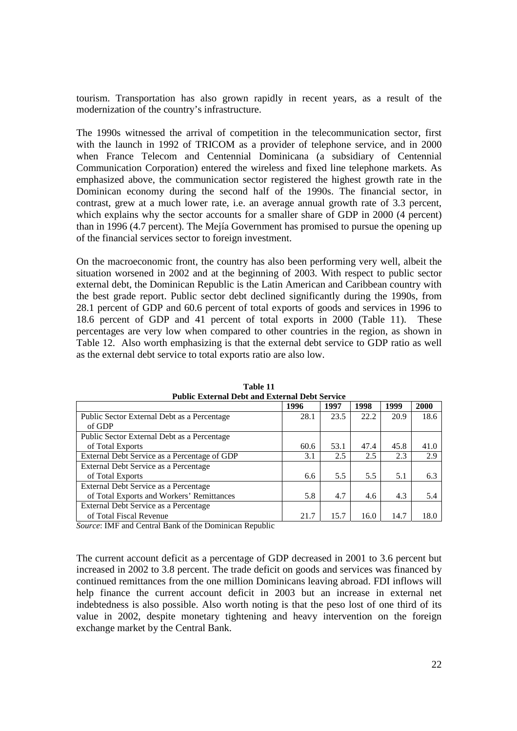tourism. Transportation has also grown rapidly in recent years, as a result of the modernization of the country's infrastructure.

The 1990s witnessed the arrival of competition in the telecommunication sector, first with the launch in 1992 of TRICOM as a provider of telephone service, and in 2000 when France Telecom and Centennial Dominicana (a subsidiary of Centennial Communication Corporation) entered the wireless and fixed line telephone markets. As emphasized above, the communication sector registered the highest growth rate in the Dominican economy during the second half of the 1990s. The financial sector, in contrast, grew at a much lower rate, i.e. an average annual growth rate of 3.3 percent, which explains why the sector accounts for a smaller share of GDP in 2000 (4 percent) than in 1996 (4.7 percent). The Mejía Government has promised to pursue the opening up of the financial services sector to foreign investment.

On the macroeconomic front, the country has also been performing very well, albeit the situation worsened in 2002 and at the beginning of 2003. With respect to public sector external debt, the Dominican Republic is the Latin American and Caribbean country with the best grade report. Public sector debt declined significantly during the 1990s, from 28.1 percent of GDP and 60.6 percent of total exports of goods and services in 1996 to 18.6 percent of GDP and 41 percent of total exports in 2000 (Table 11). These percentages are very low when compared to other countries in the region, as shown in Table 12. Also worth emphasizing is that the external debt service to GDP ratio as well as the external debt service to total exports ratio are also low.

|                                              | 1996 | 1997 | 1998 | 1999 | 2000 |
|----------------------------------------------|------|------|------|------|------|
| Public Sector External Debt as a Percentage  | 28.1 | 23.5 | 22.2 | 20.9 | 18.6 |
| of GDP                                       |      |      |      |      |      |
| Public Sector External Debt as a Percentage  |      |      |      |      |      |
| of Total Exports                             | 60.6 | 53.1 | 47.4 | 45.8 | 41.0 |
| External Debt Service as a Percentage of GDP | 3.1  | 2.5  | 2.5  | 2.3  | 2.9  |
| External Debt Service as a Percentage        |      |      |      |      |      |
| of Total Exports                             | 6.6  | 5.5  | 5.5  | 5.1  | 6.3  |
| External Debt Service as a Percentage        |      |      |      |      |      |
| of Total Exports and Workers' Remittances    | 5.8  | 4.7  | 4.6  | 4.3  | 5.4  |
| External Debt Service as a Percentage        |      |      |      |      |      |
| of Total Fiscal Revenue                      | 21.  | 15.7 | 16.0 | 14.7 | 18.0 |

**Table 11 Public External Debt and External Debt Service**

*Source*: IMF and Central Bank of the Dominican Republic

The current account deficit as a percentage of GDP decreased in 2001 to 3.6 percent but increased in 2002 to 3.8 percent. The trade deficit on goods and services was financed by continued remittances from the one million Dominicans leaving abroad. FDI inflows will help finance the current account deficit in 2003 but an increase in external net indebtedness is also possible. Also worth noting is that the peso lost of one third of its value in 2002, despite monetary tightening and heavy intervention on the foreign exchange market by the Central Bank.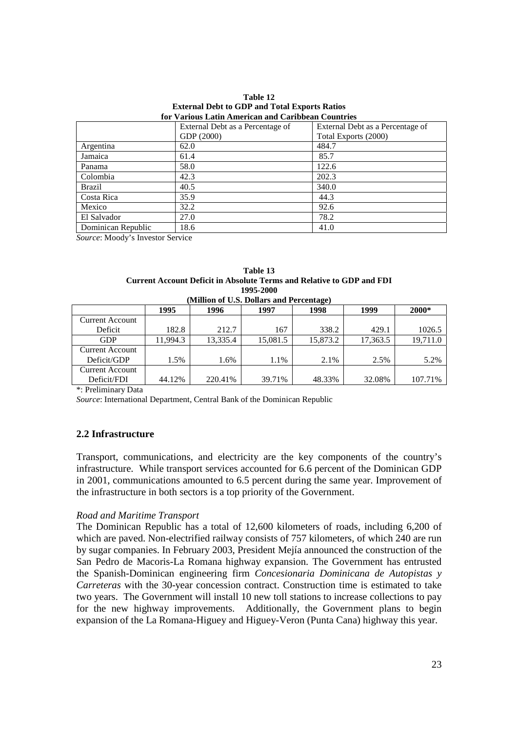**Table 12 External Debt to GDP and Total Exports Ratios for Various Latin American and Caribbean Countries** 

|                    | TOL VALIOUS LAUIL AINEITEAN ANU CALIDDEAN COUNTIES |                                  |
|--------------------|----------------------------------------------------|----------------------------------|
|                    | External Debt as a Percentage of                   | External Debt as a Percentage of |
|                    | GDP (2000)                                         | Total Exports (2000)             |
| Argentina          | 62.0                                               | 484.7                            |
| Jamaica            | 61.4                                               | 85.7                             |
| Panama             | 58.0                                               | 122.6                            |
| Colombia           | 42.3                                               | 202.3                            |
| <b>Brazil</b>      | 40.5                                               | 340.0                            |
| Costa Rica         | 35.9                                               | 44.3                             |
| Mexico             | 32.2                                               | 92.6                             |
| El Salvador        | 27.0                                               | 78.2                             |
| Dominican Republic | 18.6                                               | 41.0                             |

*Source*: Moody's Investor Service

| Table 13                                                              |
|-----------------------------------------------------------------------|
| Current Account Deficit in Absolute Terms and Relative to GDP and FDI |
| 1995-2000                                                             |

| (Million of U.S. Dollars and Percentage) |          |          |          |          |          |          |  |
|------------------------------------------|----------|----------|----------|----------|----------|----------|--|
|                                          | 1995     | 1996     | 1997     | 1998     | 1999     | 2000*    |  |
| <b>Current Account</b>                   |          |          |          |          |          |          |  |
| Deficit                                  | 182.8    | 212.7    | 167      | 338.2    | 429.1    | 1026.5   |  |
| <b>GDP</b>                               | 11.994.3 | 13.335.4 | 15,081.5 | 15,873.2 | 17,363.5 | 19,711.0 |  |
| <b>Current Account</b>                   |          |          |          |          |          |          |  |
| Deficit/GDP                              | 1.5%     | 1.6%     | 1.1%     | 2.1%     | 2.5%     | 5.2%     |  |
| <b>Current Account</b>                   |          |          |          |          |          |          |  |
| Deficit/FDI                              | 44.12%   | 220.41%  | 39.71%   | 48.33%   | 32.08%   | 107.71%  |  |

\*: Preliminary Data

*Source*: International Department, Central Bank of the Dominican Republic

#### **2.2 Infrastructure**

Transport, communications, and electricity are the key components of the country's infrastructure. While transport services accounted for 6.6 percent of the Dominican GDP in 2001, communications amounted to 6.5 percent during the same year. Improvement of the infrastructure in both sectors is a top priority of the Government.

#### *Road and Maritime Transport*

The Dominican Republic has a total of 12,600 kilometers of roads, including 6,200 of which are paved. Non-electrified railway consists of 757 kilometers, of which 240 are run by sugar companies. In February 2003, President Mejía announced the construction of the San Pedro de Macoris-La Romana highway expansion. The Government has entrusted the Spanish-Dominican engineering firm *Concesionaria Dominicana de Autopistas y Carreteras* with the 30-year concession contract. Construction time is estimated to take two years. The Government will install 10 new toll stations to increase collections to pay for the new highway improvements. Additionally, the Government plans to begin expansion of the La Romana-Higuey and Higuey-Veron (Punta Cana) highway this year.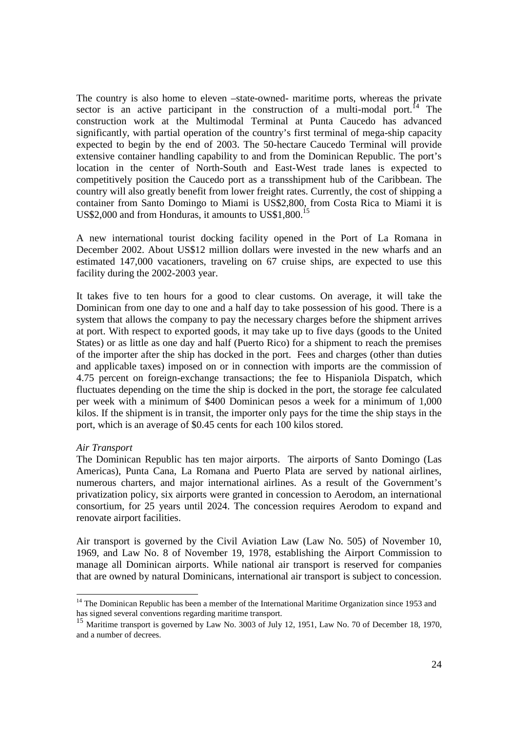The country is also home to eleven –state-owned- maritime ports, whereas the private sector is an active participant in the construction of a multi-modal port.<sup> $14$ </sup> The construction work at the Multimodal Terminal at Punta Caucedo has advanced significantly, with partial operation of the country's first terminal of mega-ship capacity expected to begin by the end of 2003. The 50-hectare Caucedo Terminal will provide extensive container handling capability to and from the Dominican Republic. The port's location in the center of North-South and East-West trade lanes is expected to competitively position the Caucedo port as a transshipment hub of the Caribbean. The country will also greatly benefit from lower freight rates. Currently, the cost of shipping a container from Santo Domingo to Miami is US\$2,800, from Costa Rica to Miami it is US\$2,000 and from Honduras, it amounts to US\$1,800.<sup>15</sup>

A new international tourist docking facility opened in the Port of La Romana in December 2002. About US\$12 million dollars were invested in the new wharfs and an estimated 147,000 vacationers, traveling on 67 cruise ships, are expected to use this facility during the 2002-2003 year.

It takes five to ten hours for a good to clear customs. On average, it will take the Dominican from one day to one and a half day to take possession of his good. There is a system that allows the company to pay the necessary charges before the shipment arrives at port. With respect to exported goods, it may take up to five days (goods to the United States) or as little as one day and half (Puerto Rico) for a shipment to reach the premises of the importer after the ship has docked in the port. Fees and charges (other than duties and applicable taxes) imposed on or in connection with imports are the commission of 4.75 percent on foreign-exchange transactions; the fee to Hispaniola Dispatch, which fluctuates depending on the time the ship is docked in the port, the storage fee calculated per week with a minimum of \$400 Dominican pesos a week for a minimum of 1,000 kilos. If the shipment is in transit, the importer only pays for the time the ship stays in the port, which is an average of \$0.45 cents for each 100 kilos stored.

#### *Air Transport*

The Dominican Republic has ten major airports. The airports of Santo Domingo (Las Americas), Punta Cana, La Romana and Puerto Plata are served by national airlines, numerous charters, and major international airlines. As a result of the Government's privatization policy, six airports were granted in concession to Aerodom, an international consortium, for 25 years until 2024. The concession requires Aerodom to expand and renovate airport facilities.

Air transport is governed by the Civil Aviation Law (Law No. 505) of November 10, 1969, and Law No. 8 of November 19, 1978, establishing the Airport Commission to manage all Dominican airports. While national air transport is reserved for companies that are owned by natural Dominicans, international air transport is subject to concession.

<sup>-</sup><sup>14</sup> The Dominican Republic has been a member of the International Maritime Organization since 1953 and has signed several conventions regarding maritime transport.

<sup>&</sup>lt;sup>15</sup> Maritime transport is governed by Law No. 3003 of July 12, 1951, Law No. 70 of December 18, 1970, and a number of decrees.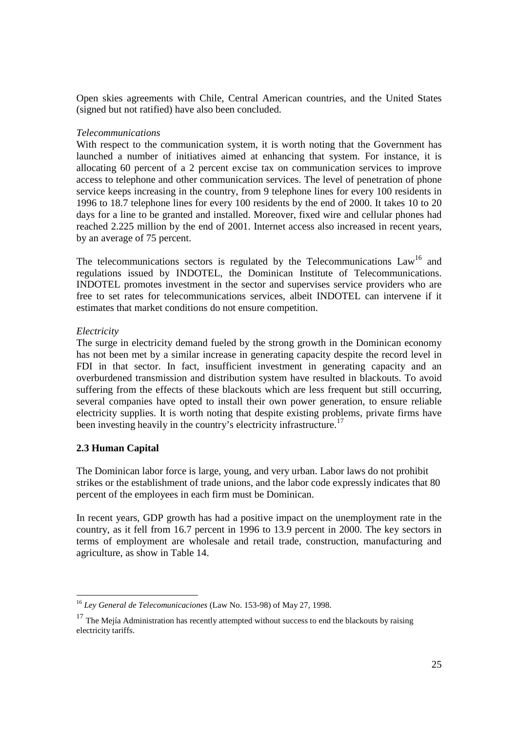Open skies agreements with Chile, Central American countries, and the United States (signed but not ratified) have also been concluded.

## *Telecommunications*

With respect to the communication system, it is worth noting that the Government has launched a number of initiatives aimed at enhancing that system. For instance, it is allocating 60 percent of a 2 percent excise tax on communication services to improve access to telephone and other communication services. The level of penetration of phone service keeps increasing in the country, from 9 telephone lines for every 100 residents in 1996 to 18.7 telephone lines for every 100 residents by the end of 2000. It takes 10 to 20 days for a line to be granted and installed. Moreover, fixed wire and cellular phones had reached 2.225 million by the end of 2001. Internet access also increased in recent years, by an average of 75 percent.

The telecommunications sectors is regulated by the Telecommunications Law<sup>16</sup> and regulations issued by INDOTEL, the Dominican Institute of Telecommunications. INDOTEL promotes investment in the sector and supervises service providers who are free to set rates for telecommunications services, albeit INDOTEL can intervene if it estimates that market conditions do not ensure competition.

## *Electricity*

The surge in electricity demand fueled by the strong growth in the Dominican economy has not been met by a similar increase in generating capacity despite the record level in FDI in that sector. In fact, insufficient investment in generating capacity and an overburdened transmission and distribution system have resulted in blackouts. To avoid suffering from the effects of these blackouts which are less frequent but still occurring, several companies have opted to install their own power generation, to ensure reliable electricity supplies. It is worth noting that despite existing problems, private firms have been investing heavily in the country's electricity infrastructure.<sup>17</sup>

## **2.3 Human Capital**

-

The Dominican labor force is large, young, and very urban. Labor laws do not prohibit strikes or the establishment of trade unions, and the labor code expressly indicates that 80 percent of the employees in each firm must be Dominican.

In recent years, GDP growth has had a positive impact on the unemployment rate in the country, as it fell from 16.7 percent in 1996 to 13.9 percent in 2000. The key sectors in terms of employment are wholesale and retail trade, construction, manufacturing and agriculture, as show in Table 14.

<sup>16</sup> *Ley General de Telecomunicaciones* (Law No. 153-98) of May 27, 1998.

 $17$  The Mejía Administration has recently attempted without success to end the blackouts by raising electricity tariffs.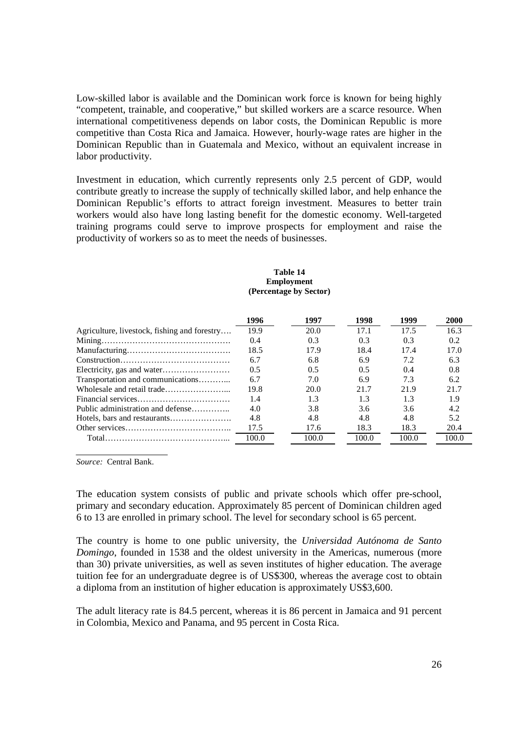Low-skilled labor is available and the Dominican work force is known for being highly "competent, trainable, and cooperative," but skilled workers are a scarce resource. When international competitiveness depends on labor costs, the Dominican Republic is more competitive than Costa Rica and Jamaica. However, hourly-wage rates are higher in the Dominican Republic than in Guatemala and Mexico, without an equivalent increase in labor productivity.

Investment in education, which currently represents only 2.5 percent of GDP, would contribute greatly to increase the supply of technically skilled labor, and help enhance the Dominican Republic's efforts to attract foreign investment. Measures to better train workers would also have long lasting benefit for the domestic economy. Well-targeted training programs could serve to improve prospects for employment and raise the productivity of workers so as to meet the needs of businesses.

#### **Table 14 Employment (Percentage by Sector)**

|                                              | 1996  | 1997  | 1998  | 1999  | <b>2000</b> |
|----------------------------------------------|-------|-------|-------|-------|-------------|
| Agriculture, livestock, fishing and forestry | 19.9  | 20.0  | 17.1  | 17.5  | 16.3        |
|                                              | 0.4   | 0.3   | 0.3   | 0.3   | 0.2         |
|                                              | 18.5  | 17.9  | 18.4  | 17.4  | 17.0        |
|                                              | 6.7   | 6.8   | 6.9   | 7.2   | 6.3         |
|                                              | 0.5   | 0.5   | 0.5   | 0.4   | 0.8         |
| Transportation and communications            | 6.7   | 7.0   | 6.9   | 7.3   | 6.2         |
|                                              | 19.8  | 20.0  | 21.7  | 21.9  | 21.7        |
|                                              | 1.4   | 1.3   | 1.3   | 1.3   | 1.9         |
| Public administration and defense            | 4.0   | 3.8   | 3.6   | 3.6   | 4.2         |
|                                              | 4.8   | 4.8   | 4.8   | 4.8   | 5.2         |
|                                              | 17.5  | 17.6  | 18.3  | 18.3  | 20.4        |
|                                              | 100.0 | 100.0 | 100.0 | 100.0 | 100.0       |

*Source:* Central Bank.

The education system consists of public and private schools which offer pre-school, primary and secondary education. Approximately 85 percent of Dominican children aged 6 to 13 are enrolled in primary school. The level for secondary school is 65 percent.

The country is home to one public university, the *Universidad Autónoma de Santo Domingo*, founded in 1538 and the oldest university in the Americas, numerous (more than 30) private universities, as well as seven institutes of higher education. The average tuition fee for an undergraduate degree is of US\$300, whereas the average cost to obtain a diploma from an institution of higher education is approximately US\$3,600.

The adult literacy rate is 84.5 percent, whereas it is 86 percent in Jamaica and 91 percent in Colombia, Mexico and Panama, and 95 percent in Costa Rica.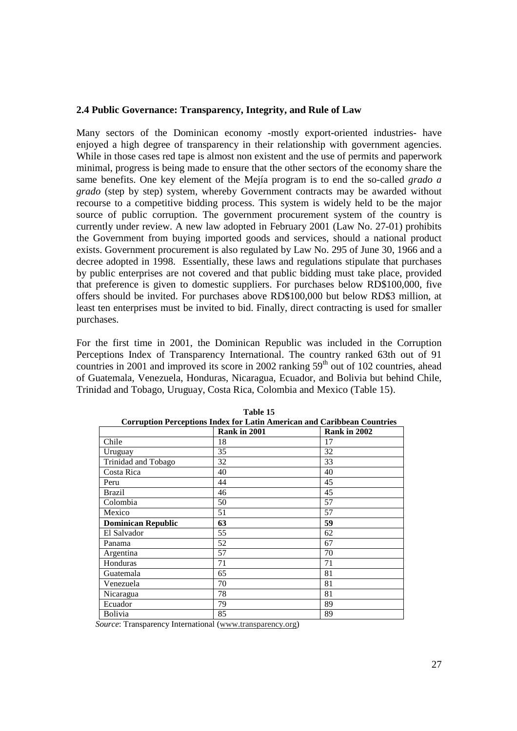### **2.4 Public Governance: Transparency, Integrity, and Rule of Law**

Many sectors of the Dominican economy -mostly export-oriented industries- have enjoyed a high degree of transparency in their relationship with government agencies. While in those cases red tape is almost non existent and the use of permits and paperwork minimal, progress is being made to ensure that the other sectors of the economy share the same benefits. One key element of the Mejía program is to end the so-called *grado a grado* (step by step) system, whereby Government contracts may be awarded without recourse to a competitive bidding process. This system is widely held to be the major source of public corruption. The government procurement system of the country is currently under review. A new law adopted in February 2001 (Law No. 27-01) prohibits the Government from buying imported goods and services, should a national product exists. Government procurement is also regulated by Law No. 295 of June 30, 1966 and a decree adopted in 1998. Essentially, these laws and regulations stipulate that purchases by public enterprises are not covered and that public bidding must take place, provided that preference is given to domestic suppliers. For purchases below RD\$100,000, five offers should be invited. For purchases above RD\$100,000 but below RD\$3 million, at least ten enterprises must be invited to bid. Finally, direct contracting is used for smaller purchases.

For the first time in 2001, the Dominican Republic was included in the Corruption Perceptions Index of Transparency International. The country ranked 63th out of 91 countries in 2001 and improved its score in 2002 ranking  $59<sup>th</sup>$  out of 102 countries, ahead of Guatemala, Venezuela, Honduras, Nicaragua, Ecuador, and Bolivia but behind Chile, Trinidad and Tobago, Uruguay, Costa Rica, Colombia and Mexico (Table 15).

| Corruption Perceptions Index for Latin American and Caribbean Countries |              |              |  |  |  |  |
|-------------------------------------------------------------------------|--------------|--------------|--|--|--|--|
|                                                                         | Rank in 2001 | Rank in 2002 |  |  |  |  |
| Chile                                                                   | 18           | 17           |  |  |  |  |
| Uruguay                                                                 | 35           | 32           |  |  |  |  |
| Trinidad and Tobago                                                     | 32           | 33           |  |  |  |  |
| Costa Rica                                                              | 40           | 40           |  |  |  |  |
| Peru                                                                    | 44           | 45           |  |  |  |  |
| <b>Brazil</b>                                                           | 46           | 45           |  |  |  |  |
| Colombia                                                                | 50           | 57           |  |  |  |  |
| Mexico                                                                  | 51           | 57           |  |  |  |  |
| <b>Dominican Republic</b>                                               | 63           | 59           |  |  |  |  |
| El Salvador                                                             | 55           | 62           |  |  |  |  |
| Panama                                                                  | 52           | 67           |  |  |  |  |
| Argentina                                                               | 57           | 70           |  |  |  |  |
| Honduras                                                                | 71           | 71           |  |  |  |  |
| Guatemala                                                               | 65           | 81           |  |  |  |  |
| Venezuela                                                               | 70           | 81           |  |  |  |  |
| Nicaragua                                                               | 78           | 81           |  |  |  |  |
| Ecuador                                                                 | 79           | 89           |  |  |  |  |
| <b>Bolivia</b>                                                          | 85           | 89           |  |  |  |  |

**Table 15 Corruption Perceptions Index for Latin American and Caribbean Countries** 

 *Source*: Transparency International (www.transparency.org)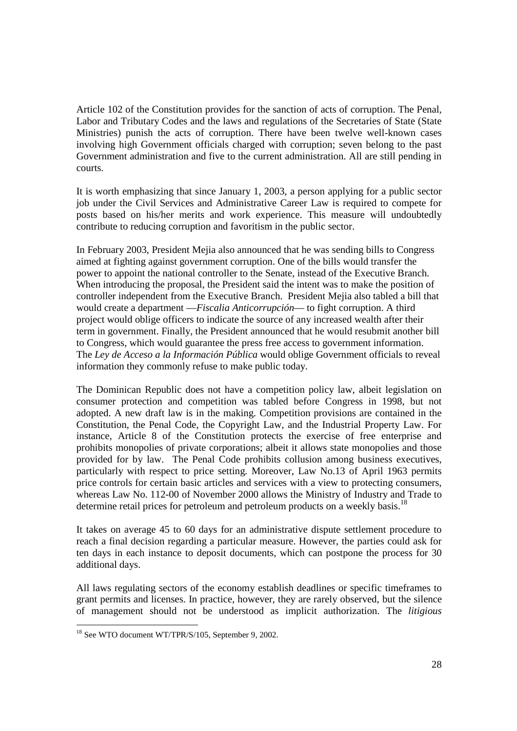Article 102 of the Constitution provides for the sanction of acts of corruption. The Penal, Labor and Tributary Codes and the laws and regulations of the Secretaries of State (State Ministries) punish the acts of corruption. There have been twelve well-known cases involving high Government officials charged with corruption; seven belong to the past Government administration and five to the current administration. All are still pending in courts.

It is worth emphasizing that since January 1, 2003, a person applying for a public sector job under the Civil Services and Administrative Career Law is required to compete for posts based on his/her merits and work experience. This measure will undoubtedly contribute to reducing corruption and favoritism in the public sector.

In February 2003, President Mejia also announced that he was sending bills to Congress aimed at fighting against government corruption. One of the bills would transfer the power to appoint the national controller to the Senate, instead of the Executive Branch. When introducing the proposal, the President said the intent was to make the position of controller independent from the Executive Branch. President Mejia also tabled a bill that would create a department —*Fiscalia Anticorrupción*— to fight corruption. A third project would oblige officers to indicate the source of any increased wealth after their term in government. Finally, the President announced that he would resubmit another bill to Congress, which would guarantee the press free access to government information. The *Ley de Acceso a la Información Pública* would oblige Government officials to reveal information they commonly refuse to make public today.

The Dominican Republic does not have a competition policy law, albeit legislation on consumer protection and competition was tabled before Congress in 1998, but not adopted. A new draft law is in the making. Competition provisions are contained in the Constitution, the Penal Code, the Copyright Law, and the Industrial Property Law. For instance, Article 8 of the Constitution protects the exercise of free enterprise and prohibits monopolies of private corporations; albeit it allows state monopolies and those provided for by law. The Penal Code prohibits collusion among business executives, particularly with respect to price setting. Moreover, Law No.13 of April 1963 permits price controls for certain basic articles and services with a view to protecting consumers, whereas Law No. 112-00 of November 2000 allows the Ministry of Industry and Trade to determine retail prices for petroleum and petroleum products on a weekly basis.<sup>18</sup>

It takes on average 45 to 60 days for an administrative dispute settlement procedure to reach a final decision regarding a particular measure. However, the parties could ask for ten days in each instance to deposit documents, which can postpone the process for 30 additional days.

All laws regulating sectors of the economy establish deadlines or specific timeframes to grant permits and licenses. In practice, however, they are rarely observed, but the silence of management should not be understood as implicit authorization. The *litigious* 

<sup>-</sup>18 See WTO document WT/TPR/S/105, September 9, 2002.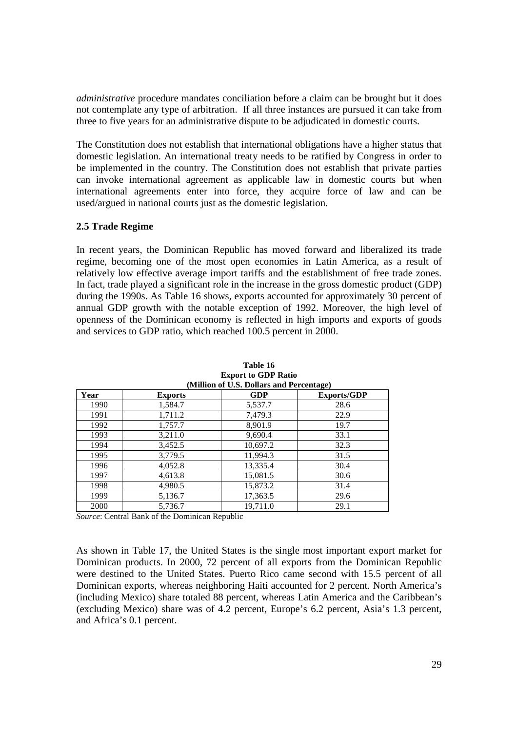*administrative* procedure mandates conciliation before a claim can be brought but it does not contemplate any type of arbitration. If all three instances are pursued it can take from three to five years for an administrative dispute to be adjudicated in domestic courts.

The Constitution does not establish that international obligations have a higher status that domestic legislation. An international treaty needs to be ratified by Congress in order to be implemented in the country. The Constitution does not establish that private parties can invoke international agreement as applicable law in domestic courts but when international agreements enter into force, they acquire force of law and can be used/argued in national courts just as the domestic legislation.

## **2.5 Trade Regime**

In recent years, the Dominican Republic has moved forward and liberalized its trade regime, becoming one of the most open economies in Latin America, as a result of relatively low effective average import tariffs and the establishment of free trade zones. In fact, trade played a significant role in the increase in the gross domestic product (GDP) during the 1990s. As Table 16 shows, exports accounted for approximately 30 percent of annual GDP growth with the notable exception of 1992. Moreover, the high level of openness of the Dominican economy is reflected in high imports and exports of goods and services to GDP ratio, which reached 100.5 percent in 2000.

| (MHHOH 01 U.S. DOHATS AND PETCENTAGE) |                |            |                    |  |  |  |
|---------------------------------------|----------------|------------|--------------------|--|--|--|
| Year                                  | <b>Exports</b> | <b>GDP</b> | <b>Exports/GDP</b> |  |  |  |
| 1990                                  | 1,584.7        | 5,537.7    | 28.6               |  |  |  |
| 1991                                  | 1,711.2        | 7,479.3    | 22.9               |  |  |  |
| 1992                                  | 1,757.7        | 8,901.9    | 19.7               |  |  |  |
| 1993                                  | 3,211.0        | 9,690.4    | 33.1               |  |  |  |
| 1994                                  | 3,452.5        | 10,697.2   | 32.3               |  |  |  |
| 1995                                  | 3,779.5        | 11,994.3   | 31.5               |  |  |  |
| 1996                                  | 4,052.8        | 13,335.4   | 30.4               |  |  |  |
| 1997                                  | 4,613.8        | 15,081.5   | 30.6               |  |  |  |
| 1998                                  | 4,980.5        | 15,873.2   | 31.4               |  |  |  |
| 1999                                  | 5,136.7        | 17,363.5   | 29.6               |  |  |  |
| 2000                                  | 5,736.7        | 19,711.0   | 29.1               |  |  |  |

**Table 16 Export to GDP Ratio (Million of U.S. Dollars and Percentage)** 

*Source*: Central Bank of the Dominican Republic

As shown in Table 17, the United States is the single most important export market for Dominican products. In 2000, 72 percent of all exports from the Dominican Republic were destined to the United States. Puerto Rico came second with 15.5 percent of all Dominican exports, whereas neighboring Haiti accounted for 2 percent. North America's (including Mexico) share totaled 88 percent, whereas Latin America and the Caribbean's (excluding Mexico) share was of 4.2 percent, Europe's 6.2 percent, Asia's 1.3 percent, and Africa's 0.1 percent.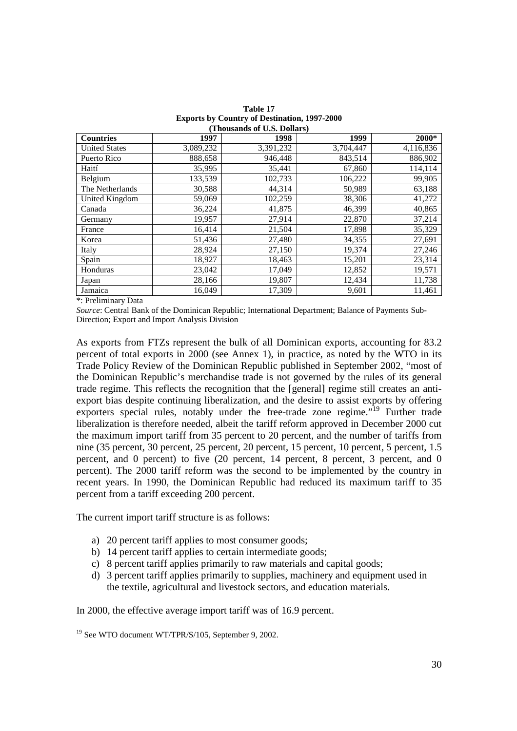| Table 17                                            |
|-----------------------------------------------------|
| <b>Exports by Country of Destination, 1997-2000</b> |
| (Thousands of II S. Dollars)                        |

| <b>Countries</b>     | 1997      | Thousands of C.S. Donars<br>1998 | 1999      | 2000*     |
|----------------------|-----------|----------------------------------|-----------|-----------|
| <b>United States</b> | 3,089,232 | 3,391,232                        | 3,704,447 | 4,116,836 |
| Puerto Rico          | 888,658   | 946,448                          | 843,514   | 886,902   |
| Haití                | 35,995    | 35,441                           | 67,860    | 114,114   |
| Belgium              | 133,539   | 102,733                          | 106,222   | 99,905    |
| The Netherlands      | 30,588    | 44,314                           | 50,989    | 63,188    |
| United Kingdom       | 59,069    | 102,259                          | 38,306    | 41,272    |
| Canada               | 36,224    | 41,875                           | 46,399    | 40,865    |
| Germany              | 19,957    | 27,914                           | 22,870    | 37,214    |
| France               | 16,414    | 21,504                           | 17,898    | 35,329    |
| Korea                | 51,436    | 27,480                           | 34,355    | 27,691    |
| Italy                | 28,924    | 27,150                           | 19,374    | 27,246    |
| Spain                | 18,927    | 18,463                           | 15,201    | 23,314    |
| Honduras             | 23,042    | 17,049                           | 12,852    | 19,571    |
| Japan                | 28,166    | 19,807                           | 12,434    | 11,738    |
| Jamaica              | 16,049    | 17,309                           | 9,601     | 11,461    |

\*: Preliminary Data

*Source*: Central Bank of the Dominican Republic; International Department; Balance of Payments Sub-Direction; Export and Import Analysis Division

As exports from FTZs represent the bulk of all Dominican exports, accounting for 83.2 percent of total exports in 2000 (see Annex 1), in practice, as noted by the WTO in its Trade Policy Review of the Dominican Republic published in September 2002, "most of the Dominican Republic's merchandise trade is not governed by the rules of its general trade regime. This reflects the recognition that the [general] regime still creates an antiexport bias despite continuing liberalization, and the desire to assist exports by offering exporters special rules, notably under the free-trade zone regime."<sup>19</sup> Further trade liberalization is therefore needed, albeit the tariff reform approved in December 2000 cut the maximum import tariff from 35 percent to 20 percent, and the number of tariffs from nine (35 percent, 30 percent, 25 percent, 20 percent, 15 percent, 10 percent, 5 percent, 1.5 percent, and 0 percent) to five (20 percent, 14 percent, 8 percent, 3 percent, and 0 percent). The 2000 tariff reform was the second to be implemented by the country in recent years. In 1990, the Dominican Republic had reduced its maximum tariff to 35 percent from a tariff exceeding 200 percent.

The current import tariff structure is as follows:

- a) 20 percent tariff applies to most consumer goods;
- b) 14 percent tariff applies to certain intermediate goods;
- c) 8 percent tariff applies primarily to raw materials and capital goods;
- d) 3 percent tariff applies primarily to supplies, machinery and equipment used in the textile, agricultural and livestock sectors, and education materials.

In 2000, the effective average import tariff was of 16.9 percent.

<sup>-</sup><sup>19</sup> See WTO document WT/TPR/S/105, September 9, 2002.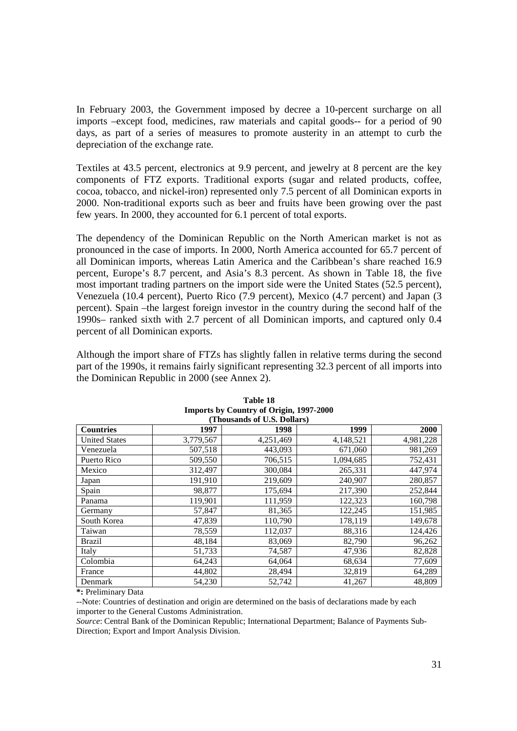In February 2003, the Government imposed by decree a 10-percent surcharge on all imports –except food, medicines, raw materials and capital goods-- for a period of 90 days, as part of a series of measures to promote austerity in an attempt to curb the depreciation of the exchange rate.

Textiles at 43.5 percent, electronics at 9.9 percent, and jewelry at 8 percent are the key components of FTZ exports. Traditional exports (sugar and related products, coffee, cocoa, tobacco, and nickel-iron) represented only 7.5 percent of all Dominican exports in 2000. Non-traditional exports such as beer and fruits have been growing over the past few years. In 2000, they accounted for 6.1 percent of total exports.

The dependency of the Dominican Republic on the North American market is not as pronounced in the case of imports. In 2000, North America accounted for 65.7 percent of all Dominican imports, whereas Latin America and the Caribbean's share reached 16.9 percent, Europe's 8.7 percent, and Asia's 8.3 percent. As shown in Table 18, the five most important trading partners on the import side were the United States (52.5 percent), Venezuela (10.4 percent), Puerto Rico (7.9 percent), Mexico (4.7 percent) and Japan (3 percent). Spain –the largest foreign investor in the country during the second half of the 1990s– ranked sixth with 2.7 percent of all Dominican imports, and captured only 0.4 percent of all Dominican exports.

Although the import share of FTZs has slightly fallen in relative terms during the second part of the 1990s, it remains fairly significant representing 32.3 percent of all imports into the Dominican Republic in 2000 (see Annex 2).

|                      |           | Imports by Country of Origin, 1997-2000 |           |           |
|----------------------|-----------|-----------------------------------------|-----------|-----------|
|                      |           | (Thousands of U.S. Dollars)             |           |           |
| <b>Countries</b>     | 1997      | 1998                                    | 1999      | 2000      |
| <b>United States</b> | 3,779,567 | 4,251,469                               | 4,148,521 | 4,981,228 |
| Venezuela            | 507,518   | 443,093                                 | 671,060   | 981,269   |
| Puerto Rico          | 509,550   | 706,515                                 | 1,094,685 | 752,431   |
| Mexico               | 312,497   | 300,084                                 | 265,331   | 447,974   |
| Japan                | 191,910   | 219,609                                 | 240,907   | 280,857   |
| Spain                | 98,877    | 175,694                                 | 217,390   | 252,844   |
| Panama               | 119,901   | 111,959                                 | 122,323   | 160,798   |
| Germany              | 57,847    | 81,365                                  | 122,245   | 151,985   |
| South Korea          | 47.839    | 110,790                                 | 178,119   | 149,678   |
| Taiwan               | 78,559    | 112,037                                 | 88,316    | 124,426   |
| <b>Brazil</b>        | 48,184    | 83,069                                  | 82,790    | 96,262    |
| Italy                | 51,733    | 74,587                                  | 47,936    | 82,828    |
| Colombia             | 64,243    | 64,064                                  | 68,634    | 77,609    |
| France               | 44,802    | 28,494                                  | 32,819    | 64,289    |
| Denmark              | 54,230    | 52,742                                  | 41,267    | 48,809    |

## **Table 18 Imports by Country of Origin, 1997-2000**

**\*:** Preliminary Data

--Note: Countries of destination and origin are determined on the basis of declarations made by each importer to the General Customs Administration.

*Source*: Central Bank of the Dominican Republic; International Department; Balance of Payments Sub-Direction; Export and Import Analysis Division.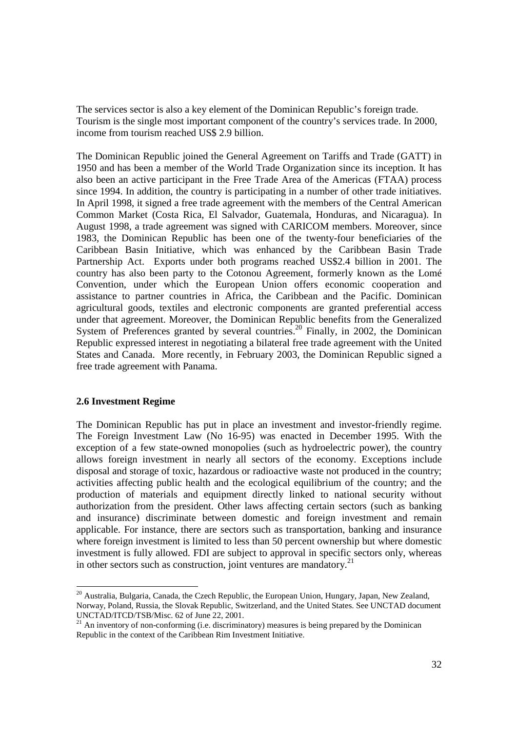The services sector is also a key element of the Dominican Republic's foreign trade. Tourism is the single most important component of the country's services trade. In 2000, income from tourism reached US\$ 2.9 billion.

The Dominican Republic joined the General Agreement on Tariffs and Trade (GATT) in 1950 and has been a member of the World Trade Organization since its inception. It has also been an active participant in the Free Trade Area of the Americas (FTAA) process since 1994. In addition, the country is participating in a number of other trade initiatives. In April 1998, it signed a free trade agreement with the members of the Central American Common Market (Costa Rica, El Salvador, Guatemala, Honduras, and Nicaragua). In August 1998, a trade agreement was signed with CARICOM members. Moreover, since 1983, the Dominican Republic has been one of the twenty-four beneficiaries of the Caribbean Basin Initiative, which was enhanced by the Caribbean Basin Trade Partnership Act. Exports under both programs reached US\$2.4 billion in 2001. The country has also been party to the Cotonou Agreement, formerly known as the Lomé Convention, under which the European Union offers economic cooperation and assistance to partner countries in Africa, the Caribbean and the Pacific. Dominican agricultural goods, textiles and electronic components are granted preferential access under that agreement. Moreover, the Dominican Republic benefits from the Generalized System of Preferences granted by several countries.<sup>20</sup> Finally, in 2002, the Dominican Republic expressed interest in negotiating a bilateral free trade agreement with the United States and Canada. More recently, in February 2003, the Dominican Republic signed a free trade agreement with Panama.

#### **2.6 Investment Regime**

The Dominican Republic has put in place an investment and investor-friendly regime. The Foreign Investment Law (No 16-95) was enacted in December 1995. With the exception of a few state-owned monopolies (such as hydroelectric power), the country allows foreign investment in nearly all sectors of the economy. Exceptions include disposal and storage of toxic, hazardous or radioactive waste not produced in the country; activities affecting public health and the ecological equilibrium of the country; and the production of materials and equipment directly linked to national security without authorization from the president. Other laws affecting certain sectors (such as banking and insurance) discriminate between domestic and foreign investment and remain applicable. For instance, there are sectors such as transportation, banking and insurance where foreign investment is limited to less than 50 percent ownership but where domestic investment is fully allowed. FDI are subject to approval in specific sectors only, whereas in other sectors such as construction, joint ventures are mandatory.<sup>21</sup>

<sup>-</sup><sup>20</sup> Australia, Bulgaria, Canada, the Czech Republic, the European Union, Hungary, Japan, New Zealand, Norway, Poland, Russia, the Slovak Republic, Switzerland, and the United States. See UNCTAD document UNCTAD/ITCD/TSB/Misc. 62 of June 22, 2001.

 $21$  An inventory of non-conforming (i.e. discriminatory) measures is being prepared by the Dominican Republic in the context of the Caribbean Rim Investment Initiative.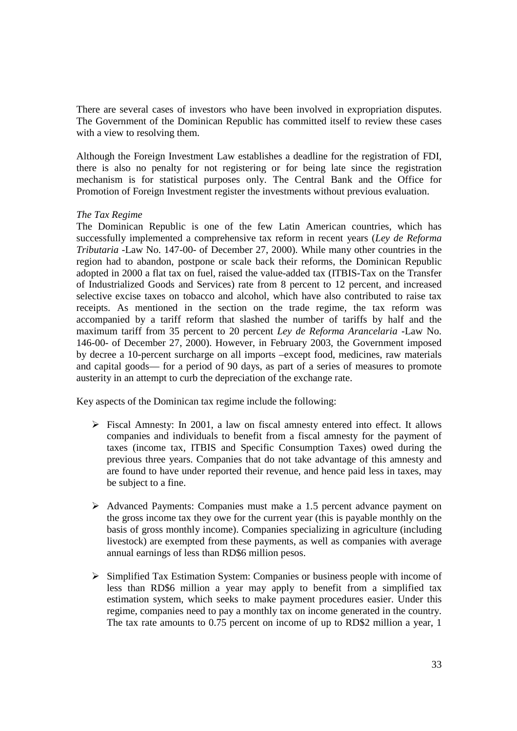There are several cases of investors who have been involved in expropriation disputes. The Government of the Dominican Republic has committed itself to review these cases with a view to resolving them.

Although the Foreign Investment Law establishes a deadline for the registration of FDI, there is also no penalty for not registering or for being late since the registration mechanism is for statistical purposes only. The Central Bank and the Office for Promotion of Foreign Investment register the investments without previous evaluation.

## *The Tax Regime*

The Dominican Republic is one of the few Latin American countries, which has successfully implemented a comprehensive tax reform in recent years (*Ley de Reforma Tributaria* -Law No. 147-00- of December 27, 2000). While many other countries in the region had to abandon, postpone or scale back their reforms, the Dominican Republic adopted in 2000 a flat tax on fuel, raised the value-added tax (ITBIS-Tax on the Transfer of Industrialized Goods and Services) rate from 8 percent to 12 percent, and increased selective excise taxes on tobacco and alcohol, which have also contributed to raise tax receipts. As mentioned in the section on the trade regime, the tax reform was accompanied by a tariff reform that slashed the number of tariffs by half and the maximum tariff from 35 percent to 20 percent *Ley de Reforma Arancelaria* -Law No. 146-00- of December 27, 2000). However, in February 2003, the Government imposed by decree a 10-percent surcharge on all imports –except food, medicines, raw materials and capital goods— for a period of 90 days, as part of a series of measures to promote austerity in an attempt to curb the depreciation of the exchange rate.

Key aspects of the Dominican tax regime include the following:

- $\triangleright$  Fiscal Amnesty: In 2001, a law on fiscal amnesty entered into effect. It allows companies and individuals to benefit from a fiscal amnesty for the payment of taxes (income tax, ITBIS and Specific Consumption Taxes) owed during the previous three years. Companies that do not take advantage of this amnesty and are found to have under reported their revenue, and hence paid less in taxes, may be subject to a fine.
- $\triangleright$  Advanced Payments: Companies must make a 1.5 percent advance payment on the gross income tax they owe for the current year (this is payable monthly on the basis of gross monthly income). Companies specializing in agriculture (including livestock) are exempted from these payments, as well as companies with average annual earnings of less than RD\$6 million pesos.
- $\triangleright$  Simplified Tax Estimation System: Companies or business people with income of less than RD\$6 million a year may apply to benefit from a simplified tax estimation system, which seeks to make payment procedures easier. Under this regime, companies need to pay a monthly tax on income generated in the country. The tax rate amounts to 0.75 percent on income of up to RD\$2 million a year, 1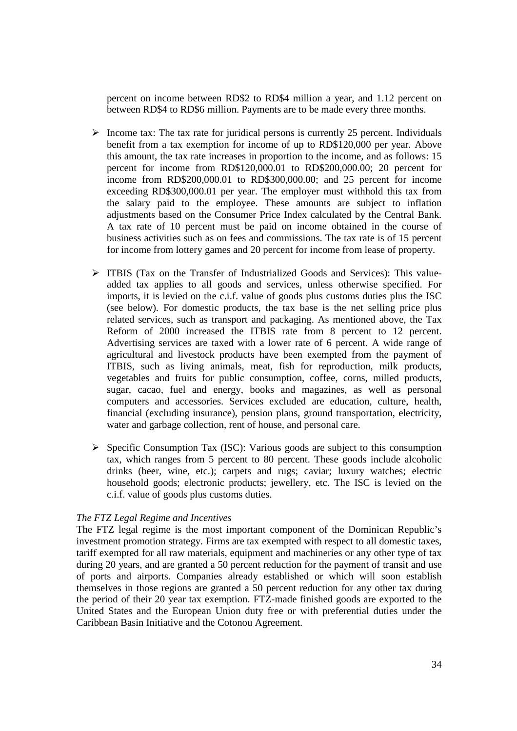percent on income between RD\$2 to RD\$4 million a year, and 1.12 percent on between RD\$4 to RD\$6 million. Payments are to be made every three months.

- $\triangleright$  Income tax: The tax rate for juridical persons is currently 25 percent. Individuals benefit from a tax exemption for income of up to RD\$120,000 per year. Above this amount, the tax rate increases in proportion to the income, and as follows: 15 percent for income from RD\$120,000.01 to RD\$200,000.00; 20 percent for income from RD\$200,000.01 to RD\$300,000.00; and 25 percent for income exceeding RD\$300,000.01 per year. The employer must withhold this tax from the salary paid to the employee. These amounts are subject to inflation adjustments based on the Consumer Price Index calculated by the Central Bank. A tax rate of 10 percent must be paid on income obtained in the course of business activities such as on fees and commissions. The tax rate is of 15 percent for income from lottery games and 20 percent for income from lease of property.
- $\triangleright$  ITBIS (Tax on the Transfer of Industrialized Goods and Services): This valueadded tax applies to all goods and services, unless otherwise specified. For imports, it is levied on the c.i.f. value of goods plus customs duties plus the ISC (see below). For domestic products, the tax base is the net selling price plus related services, such as transport and packaging. As mentioned above, the Tax Reform of 2000 increased the ITBIS rate from 8 percent to 12 percent. Advertising services are taxed with a lower rate of 6 percent. A wide range of agricultural and livestock products have been exempted from the payment of ITBIS, such as living animals, meat, fish for reproduction, milk products, vegetables and fruits for public consumption, coffee, corns, milled products, sugar, cacao, fuel and energy, books and magazines, as well as personal computers and accessories. Services excluded are education, culture, health, financial (excluding insurance), pension plans, ground transportation, electricity, water and garbage collection, rent of house, and personal care.
- $\triangleright$  Specific Consumption Tax (ISC): Various goods are subject to this consumption tax, which ranges from 5 percent to 80 percent. These goods include alcoholic drinks (beer, wine, etc.); carpets and rugs; caviar; luxury watches; electric household goods; electronic products; jewellery, etc. The ISC is levied on the c.i.f. value of goods plus customs duties.

#### *The FTZ Legal Regime and Incentives*

The FTZ legal regime is the most important component of the Dominican Republic's investment promotion strategy. Firms are tax exempted with respect to all domestic taxes, tariff exempted for all raw materials, equipment and machineries or any other type of tax during 20 years, and are granted a 50 percent reduction for the payment of transit and use of ports and airports. Companies already established or which will soon establish themselves in those regions are granted a 50 percent reduction for any other tax during the period of their 20 year tax exemption. FTZ-made finished goods are exported to the United States and the European Union duty free or with preferential duties under the Caribbean Basin Initiative and the Cotonou Agreement.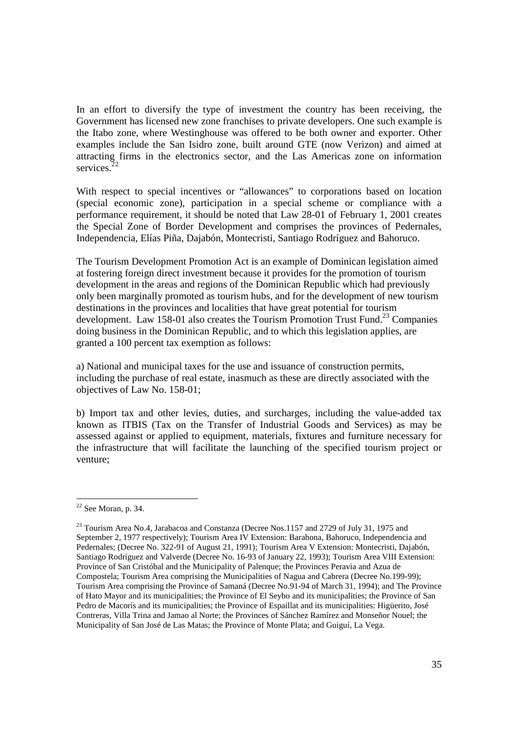In an effort to diversify the type of investment the country has been receiving, the Government has licensed new zone franchises to private developers. One such example is the Itabo zone, where Westinghouse was offered to be both owner and exporter. Other examples include the San Isidro zone, built around GTE (now Verizon) and aimed at attracting firms in the electronics sector, and the Las Americas zone on information services.<sup>22</sup>

With respect to special incentives or "allowances" to corporations based on location (special economic zone), participation in a special scheme or compliance with a performance requirement, it should be noted that Law 28-01 of February 1, 2001 creates the Special Zone of Border Development and comprises the provinces of Pedernales, Independencia, Elías Piña, Dajabón, Montecristi, Santiago Rodríguez and Bahoruco.

The Tourism Development Promotion Act is an example of Dominican legislation aimed at fostering foreign direct investment because it provides for the promotion of tourism development in the areas and regions of the Dominican Republic which had previously only been marginally promoted as tourism hubs, and for the development of new tourism destinations in the provinces and localities that have great potential for tourism development. Law 158-01 also creates the Tourism Promotion Trust Fund.<sup>23</sup> Companies doing business in the Dominican Republic, and to which this legislation applies, are granted a 100 percent tax exemption as follows:

a) National and municipal taxes for the use and issuance of construction permits, including the purchase of real estate, inasmuch as these are directly associated with the objectives of Law No. 158-01;

b) Import tax and other levies, duties, and surcharges, including the value-added tax known as ITBIS (Tax on the Transfer of Industrial Goods and Services) as may be assessed against or applied to equipment, materials, fixtures and furniture necessary for the infrastructure that will facilitate the launching of the specified tourism project or venture;

<sup>-</sup> $22$  See Moran, p. 34.

<sup>&</sup>lt;sup>23</sup> Tourism Area No.4, Jarabacoa and Constanza (Decree Nos.1157 and 2729 of July 31, 1975 and September 2, 1977 respectively); Tourism Area IV Extension: Barahona, Bahoruco, Independencia and Pedernales; (Decree No. 322-91 of August 21, 1991); Tourism Area V Extension: Montecristi, Dajabón, Santiago Rodríguez and Valverde (Decree No. 16-93 of January 22, 1993); Tourism Area VIII Extension: Province of San Cristóbal and the Municipality of Palenque; the Provinces Peravia and Azua de Compostela; Tourism Area comprising the Municipalities of Nagua and Cabrera (Decree No.199-99); Tourism Area comprising the Province of Samaná (Decree No.91-94 of March 31, 1994); and The Province of Hato Mayor and its municipalities; the Province of El Seybo and its municipalities; the Province of San Pedro de Macorís and its municipalities; the Province of Espaillat and its municipalities: Higüerito, José Contreras, Villa Trina and Jamao al Norte; the Provinces of Sánchez Ramírez and Monseñor Nouel; the Municipality of San José de Las Matas; the Province of Monte Plata; and Guiguí, La Vega.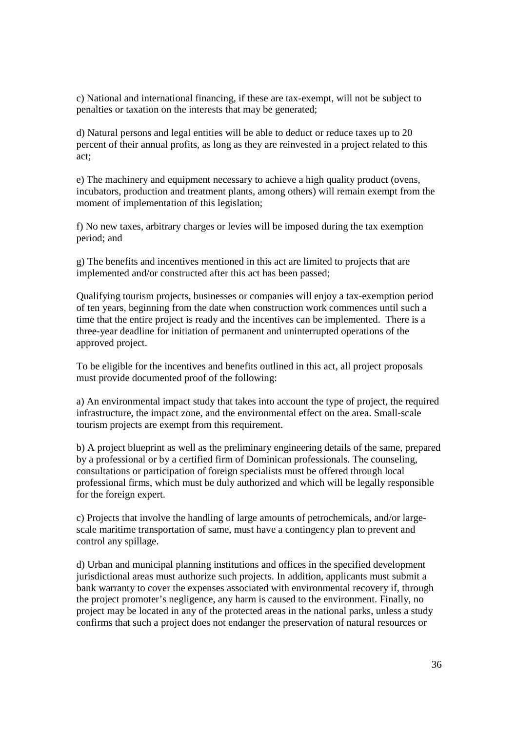c) National and international financing, if these are tax-exempt, will not be subject to penalties or taxation on the interests that may be generated;

d) Natural persons and legal entities will be able to deduct or reduce taxes up to 20 percent of their annual profits, as long as they are reinvested in a project related to this act;

e) The machinery and equipment necessary to achieve a high quality product (ovens, incubators, production and treatment plants, among others) will remain exempt from the moment of implementation of this legislation;

f) No new taxes, arbitrary charges or levies will be imposed during the tax exemption period; and

g) The benefits and incentives mentioned in this act are limited to projects that are implemented and/or constructed after this act has been passed;

Qualifying tourism projects, businesses or companies will enjoy a tax-exemption period of ten years, beginning from the date when construction work commences until such a time that the entire project is ready and the incentives can be implemented. There is a three-year deadline for initiation of permanent and uninterrupted operations of the approved project.

To be eligible for the incentives and benefits outlined in this act, all project proposals must provide documented proof of the following:

a) An environmental impact study that takes into account the type of project, the required infrastructure, the impact zone, and the environmental effect on the area. Small-scale tourism projects are exempt from this requirement.

b) A project blueprint as well as the preliminary engineering details of the same, prepared by a professional or by a certified firm of Dominican professionals. The counseling, consultations or participation of foreign specialists must be offered through local professional firms, which must be duly authorized and which will be legally responsible for the foreign expert.

c) Projects that involve the handling of large amounts of petrochemicals, and/or largescale maritime transportation of same, must have a contingency plan to prevent and control any spillage.

d) Urban and municipal planning institutions and offices in the specified development jurisdictional areas must authorize such projects. In addition, applicants must submit a bank warranty to cover the expenses associated with environmental recovery if, through the project promoter's negligence, any harm is caused to the environment. Finally, no project may be located in any of the protected areas in the national parks, unless a study confirms that such a project does not endanger the preservation of natural resources or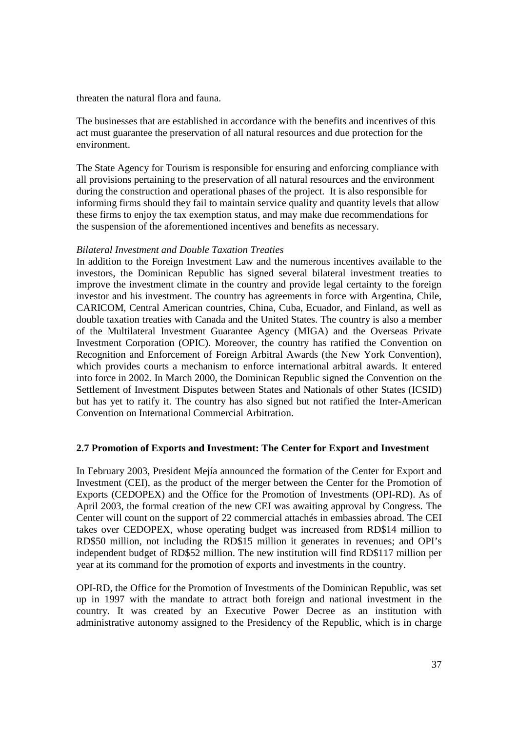threaten the natural flora and fauna.

The businesses that are established in accordance with the benefits and incentives of this act must guarantee the preservation of all natural resources and due protection for the environment.

The State Agency for Tourism is responsible for ensuring and enforcing compliance with all provisions pertaining to the preservation of all natural resources and the environment during the construction and operational phases of the project. It is also responsible for informing firms should they fail to maintain service quality and quantity levels that allow these firms to enjoy the tax exemption status, and may make due recommendations for the suspension of the aforementioned incentives and benefits as necessary.

#### *Bilateral Investment and Double Taxation Treaties*

In addition to the Foreign Investment Law and the numerous incentives available to the investors, the Dominican Republic has signed several bilateral investment treaties to improve the investment climate in the country and provide legal certainty to the foreign investor and his investment. The country has agreements in force with Argentina, Chile, CARICOM, Central American countries, China, Cuba, Ecuador, and Finland, as well as double taxation treaties with Canada and the United States. The country is also a member of the Multilateral Investment Guarantee Agency (MIGA) and the Overseas Private Investment Corporation (OPIC). Moreover, the country has ratified the Convention on Recognition and Enforcement of Foreign Arbitral Awards (the New York Convention), which provides courts a mechanism to enforce international arbitral awards. It entered into force in 2002. In March 2000, the Dominican Republic signed the Convention on the Settlement of Investment Disputes between States and Nationals of other States (ICSID) but has yet to ratify it. The country has also signed but not ratified the Inter-American Convention on International Commercial Arbitration.

#### **2.7 Promotion of Exports and Investment: The Center for Export and Investment**

In February 2003, President Mejía announced the formation of the Center for Export and Investment (CEI), as the product of the merger between the Center for the Promotion of Exports (CEDOPEX) and the Office for the Promotion of Investments (OPI-RD). As of April 2003, the formal creation of the new CEI was awaiting approval by Congress. The Center will count on the support of 22 commercial attachés in embassies abroad. The CEI takes over CEDOPEX, whose operating budget was increased from RD\$14 million to RD\$50 million, not including the RD\$15 million it generates in revenues; and OPI's independent budget of RD\$52 million. The new institution will find RD\$117 million per year at its command for the promotion of exports and investments in the country.

OPI-RD, the Office for the Promotion of Investments of the Dominican Republic, was set up in 1997 with the mandate to attract both foreign and national investment in the country. It was created by an Executive Power Decree as an institution with administrative autonomy assigned to the Presidency of the Republic, which is in charge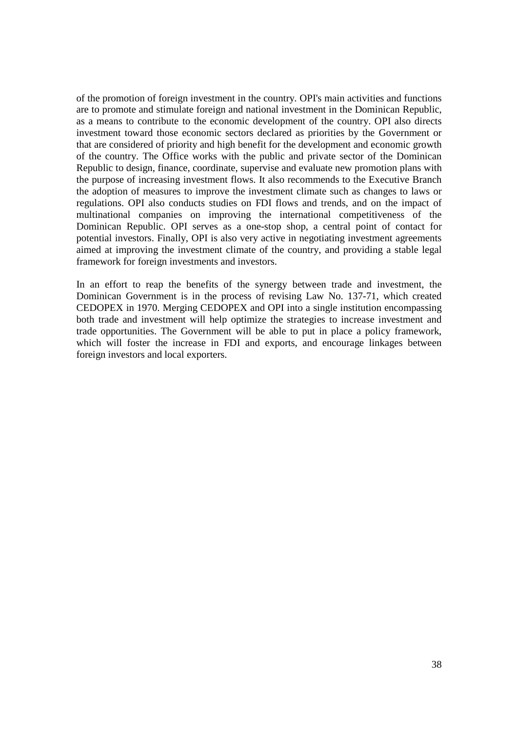of the promotion of foreign investment in the country. OPI's main activities and functions are to promote and stimulate foreign and national investment in the Dominican Republic, as a means to contribute to the economic development of the country. OPI also directs investment toward those economic sectors declared as priorities by the Government or that are considered of priority and high benefit for the development and economic growth of the country. The Office works with the public and private sector of the Dominican Republic to design, finance, coordinate, supervise and evaluate new promotion plans with the purpose of increasing investment flows. It also recommends to the Executive Branch the adoption of measures to improve the investment climate such as changes to laws or regulations. OPI also conducts studies on FDI flows and trends, and on the impact of multinational companies on improving the international competitiveness of the Dominican Republic. OPI serves as a one-stop shop, a central point of contact for potential investors. Finally, OPI is also very active in negotiating investment agreements aimed at improving the investment climate of the country, and providing a stable legal framework for foreign investments and investors.

In an effort to reap the benefits of the synergy between trade and investment, the Dominican Government is in the process of revising Law No. 137-71, which created CEDOPEX in 1970. Merging CEDOPEX and OPI into a single institution encompassing both trade and investment will help optimize the strategies to increase investment and trade opportunities. The Government will be able to put in place a policy framework, which will foster the increase in FDI and exports, and encourage linkages between foreign investors and local exporters.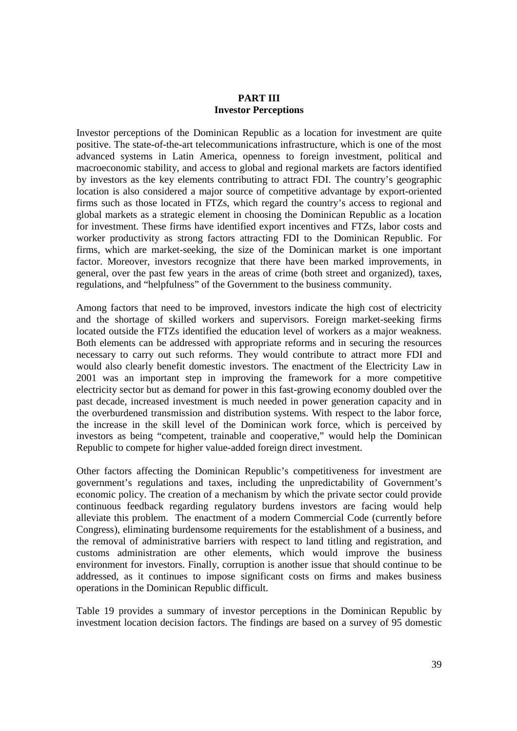## **PART III Investor Perceptions**

Investor perceptions of the Dominican Republic as a location for investment are quite positive. The state-of-the-art telecommunications infrastructure, which is one of the most advanced systems in Latin America, openness to foreign investment, political and macroeconomic stability, and access to global and regional markets are factors identified by investors as the key elements contributing to attract FDI. The country's geographic location is also considered a major source of competitive advantage by export-oriented firms such as those located in FTZs, which regard the country's access to regional and global markets as a strategic element in choosing the Dominican Republic as a location for investment. These firms have identified export incentives and FTZs, labor costs and worker productivity as strong factors attracting FDI to the Dominican Republic. For firms, which are market-seeking, the size of the Dominican market is one important factor. Moreover, investors recognize that there have been marked improvements, in general, over the past few years in the areas of crime (both street and organized), taxes, regulations, and "helpfulness" of the Government to the business community.

Among factors that need to be improved, investors indicate the high cost of electricity and the shortage of skilled workers and supervisors. Foreign market-seeking firms located outside the FTZs identified the education level of workers as a major weakness. Both elements can be addressed with appropriate reforms and in securing the resources necessary to carry out such reforms. They would contribute to attract more FDI and would also clearly benefit domestic investors. The enactment of the Electricity Law in 2001 was an important step in improving the framework for a more competitive electricity sector but as demand for power in this fast-growing economy doubled over the past decade, increased investment is much needed in power generation capacity and in the overburdened transmission and distribution systems. With respect to the labor force, the increase in the skill level of the Dominican work force, which is perceived by investors as being "competent, trainable and cooperative," would help the Dominican Republic to compete for higher value-added foreign direct investment.

Other factors affecting the Dominican Republic's competitiveness for investment are government's regulations and taxes, including the unpredictability of Government's economic policy. The creation of a mechanism by which the private sector could provide continuous feedback regarding regulatory burdens investors are facing would help alleviate this problem. The enactment of a modern Commercial Code (currently before Congress), eliminating burdensome requirements for the establishment of a business, and the removal of administrative barriers with respect to land titling and registration, and customs administration are other elements, which would improve the business environment for investors. Finally, corruption is another issue that should continue to be addressed, as it continues to impose significant costs on firms and makes business operations in the Dominican Republic difficult.

Table 19 provides a summary of investor perceptions in the Dominican Republic by investment location decision factors. The findings are based on a survey of 95 domestic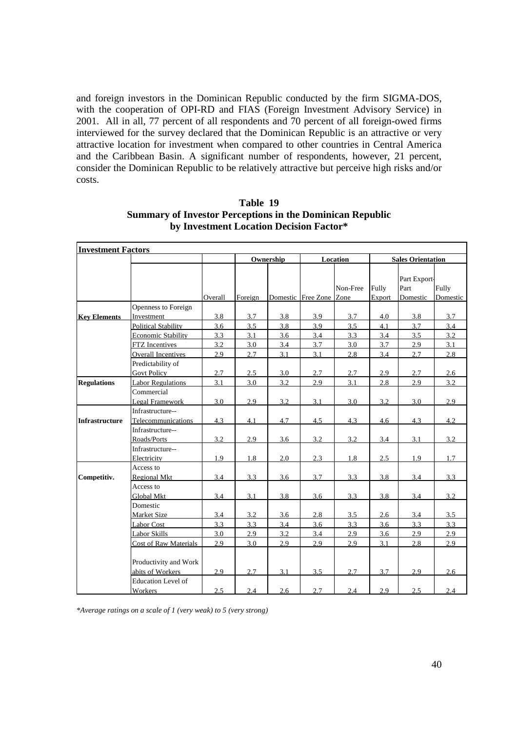and foreign investors in the Dominican Republic conducted by the firm SIGMA-DOS, with the cooperation of OPI-RD and FIAS (Foreign Investment Advisory Service) in 2001. All in all, 77 percent of all respondents and 70 percent of all foreign-owed firms interviewed for the survey declared that the Dominican Republic is an attractive or very attractive location for investment when compared to other countries in Central America and the Caribbean Basin. A significant number of respondents, however, 21 percent, consider the Dominican Republic to be relatively attractive but perceive high risks and/or costs.

| <b>Investment Factors</b> |                                           |         |         |           |                         |          |                 |                                  |                   |
|---------------------------|-------------------------------------------|---------|---------|-----------|-------------------------|----------|-----------------|----------------------------------|-------------------|
|                           |                                           |         |         | Ownership |                         | Location |                 | <b>Sales Orientation</b>         |                   |
|                           |                                           | Overall | Foreign |           | Domestic Free Zone Zone | Non-Free | Fully<br>Export | Part Export-<br>Part<br>Domestic | Fully<br>Domestic |
|                           | Openness to Foreign                       |         |         |           |                         |          |                 |                                  |                   |
| <b>Key Elements</b>       | Investment                                | 3.8     | 3.7     | 3.8       | 3.9                     | 3.7      | 4.0             | 3.8                              | 3.7               |
|                           | <b>Political Stability</b>                | 3.6     | 3.5     | 3.8       | 3.9                     | 3.5      | 4.1             | 3.7                              | 3.4               |
|                           | <b>Economic Stability</b>                 | 3.3     | 3.1     | 3.6       | 3.4                     | 3.3      | 3.4             | 3.5                              | 3.2               |
|                           | FTZ Incentives                            | 3.2     | 3.0     | 3.4       | 3.7                     | 3.0      | 3.7             | 2.9                              | 3.1               |
|                           | Overall Incentives                        | 2.9     | 2.7     | 3.1       | 3.1                     | 2.8      | 3.4             | 2.7                              | 2.8               |
|                           | Predictability of<br><b>Govt Policy</b>   | 2.7     | 2.5     | 3.0       | 2.7                     | 2.7      | 2.9             | 2.7                              | 2.6               |
| <b>Regulations</b>        | <b>Labor Regulations</b>                  | 3.1     | 3.0     | 3.2       | 2.9                     | 3.1      | 2.8             | 2.9                              | 3.2               |
|                           | Commercial<br><b>Legal Framework</b>      | 3.0     | 2.9     | 3.2       | 3.1                     | 3.0      | 3.2             | 3.0                              | 2.9               |
| Infrastructure            | Infrastructure--<br>Telecommunications    | 4.3     | 4.1     | 4.7       | 4.5                     | 4.3      | 4.6             | 4.3                              | 4.2               |
|                           | Infrastructure--<br>Roads/Ports           | 3.2     | 2.9     | 3.6       | 3.2                     | 3.2      | 3.4             | 3.1                              | 3.2               |
|                           | Infrastructure--<br>Electricity           | 1.9     | 1.8     | 2.0       | 2.3                     | 1.8      | 2.5             | 1.9                              | 1.7               |
| Competitiv.               | Access to<br>Regional Mkt                 | 3.4     | 3.3     | 3.6       | 3.7                     | 3.3      | 3.8             | 3.4                              | 3.3               |
|                           | Access to<br>Global Mkt                   | 3.4     | 3.1     | 3.8       | 3.6                     | 3.3      | 3.8             | 3.4                              | 3.2               |
|                           | Domestic<br>Market Size                   | 3.4     | 3.2     | 3.6       | 2.8                     | 3.5      | 2.6             | 3.4                              | 3.5               |
|                           | Labor Cost                                | 3.3     | 3.3     | 3.4       | 3.6                     | 3.3      | 3.6             | 3.3                              | 3.3               |
|                           | Labor Skills                              | 3.0     | 2.9     | 3.2       | 3.4                     | 2.9      | 3.6             | 2.9                              | 2.9               |
|                           | <b>Cost of Raw Materials</b>              | 2.9     | 3.0     | 2.9       | 2.9                     | 2.9      | 3.1             | 2.8                              | 2.9               |
|                           | Productivity and Work<br>abits of Workers | 2.9     | 2.7     | 3.1       | 3.5                     | 2.7      | 3.7             | 2.9                              | 2.6               |
|                           | <b>Education Level of</b><br>Workers      | 2.5     | 2.4     | 2.6       | 2.7                     | 2.4      | 2.9             | 2.5                              | 2.4               |

**Table 19 Summary of Investor Perceptions in the Dominican Republic by Investment Location Decision Factor\*** 

*\*Average ratings on a scale of 1 (very weak) to 5 (very strong)*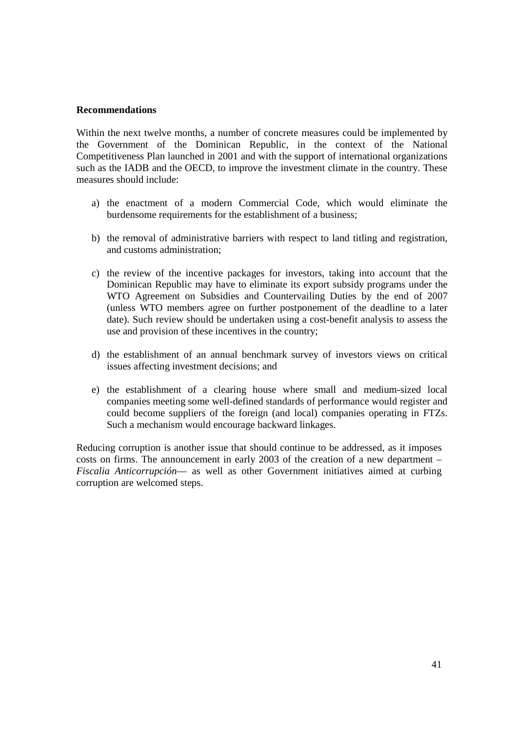### **Recommendations**

Within the next twelve months, a number of concrete measures could be implemented by the Government of the Dominican Republic, in the context of the National Competitiveness Plan launched in 2001 and with the support of international organizations such as the IADB and the OECD, to improve the investment climate in the country. These measures should include:

- a) the enactment of a modern Commercial Code, which would eliminate the burdensome requirements for the establishment of a business;
- b) the removal of administrative barriers with respect to land titling and registration, and customs administration;
- c) the review of the incentive packages for investors, taking into account that the Dominican Republic may have to eliminate its export subsidy programs under the WTO Agreement on Subsidies and Countervailing Duties by the end of 2007 (unless WTO members agree on further postponement of the deadline to a later date). Such review should be undertaken using a cost-benefit analysis to assess the use and provision of these incentives in the country;
- d) the establishment of an annual benchmark survey of investors views on critical issues affecting investment decisions; and
- e) the establishment of a clearing house where small and medium-sized local companies meeting some well-defined standards of performance would register and could become suppliers of the foreign (and local) companies operating in FTZs. Such a mechanism would encourage backward linkages.

Reducing corruption is another issue that should continue to be addressed, as it imposes costs on firms. The announcement in early 2003 of the creation of a new department – *Fiscalia Anticorrupción*— as well as other Government initiatives aimed at curbing corruption are welcomed steps.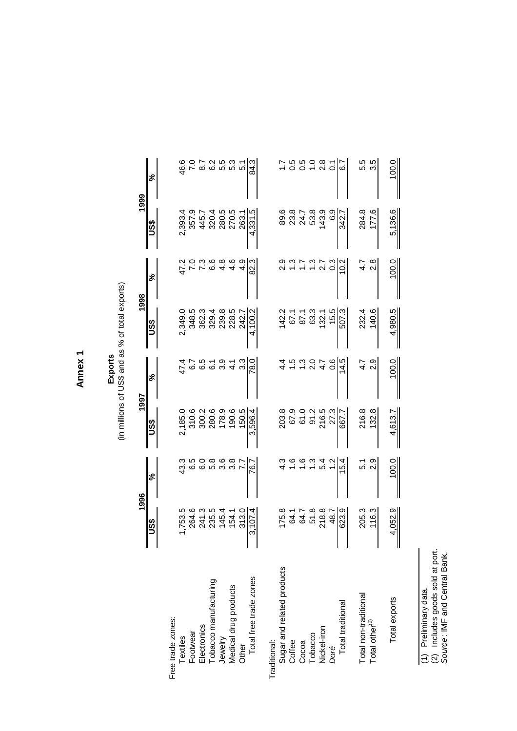| ۹  |  |
|----|--|
| ۰. |  |
|    |  |
|    |  |

**Exports**<br>(in millions of US\$ and as % of total exports) (in millions of US\$ and as % of total exports)

|                                      |                                                                                                                                                                                                                                                                                                       |                                                                      | <u>ფ</u>                                                                                                                                                                                                                                                                                             |                                                                                                                                                                                                                                                                                                            |                                                                                                                       |                                                                                                                               |                                                                                                                                                                                                                                                                                                          |                                                                                                                                                                                                                                                                                                                             |
|--------------------------------------|-------------------------------------------------------------------------------------------------------------------------------------------------------------------------------------------------------------------------------------------------------------------------------------------------------|----------------------------------------------------------------------|------------------------------------------------------------------------------------------------------------------------------------------------------------------------------------------------------------------------------------------------------------------------------------------------------|------------------------------------------------------------------------------------------------------------------------------------------------------------------------------------------------------------------------------------------------------------------------------------------------------------|-----------------------------------------------------------------------------------------------------------------------|-------------------------------------------------------------------------------------------------------------------------------|----------------------------------------------------------------------------------------------------------------------------------------------------------------------------------------------------------------------------------------------------------------------------------------------------------|-----------------------------------------------------------------------------------------------------------------------------------------------------------------------------------------------------------------------------------------------------------------------------------------------------------------------------|
|                                      | \$SN<br>I                                                                                                                                                                                                                                                                                             | $\mathcal{S}_{6}$                                                    | \$SO                                                                                                                                                                                                                                                                                                 | $\frac{5}{6}$                                                                                                                                                                                                                                                                                              | \$SN                                                                                                                  | $\overline{\mathscr{N}}$                                                                                                      | \$SM                                                                                                                                                                                                                                                                                                     | $\mathcal{S}_{6}$                                                                                                                                                                                                                                                                                                           |
| Free trade zones:                    |                                                                                                                                                                                                                                                                                                       |                                                                      |                                                                                                                                                                                                                                                                                                      |                                                                                                                                                                                                                                                                                                            |                                                                                                                       |                                                                                                                               |                                                                                                                                                                                                                                                                                                          |                                                                                                                                                                                                                                                                                                                             |
| Textiles                             |                                                                                                                                                                                                                                                                                                       |                                                                      |                                                                                                                                                                                                                                                                                                      |                                                                                                                                                                                                                                                                                                            |                                                                                                                       |                                                                                                                               |                                                                                                                                                                                                                                                                                                          |                                                                                                                                                                                                                                                                                                                             |
| Footwear                             |                                                                                                                                                                                                                                                                                                       |                                                                      |                                                                                                                                                                                                                                                                                                      |                                                                                                                                                                                                                                                                                                            |                                                                                                                       |                                                                                                                               |                                                                                                                                                                                                                                                                                                          |                                                                                                                                                                                                                                                                                                                             |
| Electronics                          |                                                                                                                                                                                                                                                                                                       |                                                                      |                                                                                                                                                                                                                                                                                                      |                                                                                                                                                                                                                                                                                                            |                                                                                                                       |                                                                                                                               |                                                                                                                                                                                                                                                                                                          |                                                                                                                                                                                                                                                                                                                             |
| Tobacco manufacturing                |                                                                                                                                                                                                                                                                                                       |                                                                      |                                                                                                                                                                                                                                                                                                      |                                                                                                                                                                                                                                                                                                            |                                                                                                                       |                                                                                                                               |                                                                                                                                                                                                                                                                                                          |                                                                                                                                                                                                                                                                                                                             |
| Jewelry                              |                                                                                                                                                                                                                                                                                                       |                                                                      |                                                                                                                                                                                                                                                                                                      |                                                                                                                                                                                                                                                                                                            |                                                                                                                       |                                                                                                                               |                                                                                                                                                                                                                                                                                                          |                                                                                                                                                                                                                                                                                                                             |
| Medical drug products                |                                                                                                                                                                                                                                                                                                       |                                                                      |                                                                                                                                                                                                                                                                                                      |                                                                                                                                                                                                                                                                                                            |                                                                                                                       |                                                                                                                               |                                                                                                                                                                                                                                                                                                          |                                                                                                                                                                                                                                                                                                                             |
| Other                                |                                                                                                                                                                                                                                                                                                       |                                                                      |                                                                                                                                                                                                                                                                                                      |                                                                                                                                                                                                                                                                                                            |                                                                                                                       |                                                                                                                               |                                                                                                                                                                                                                                                                                                          |                                                                                                                                                                                                                                                                                                                             |
| Total free trade zones               | $\begin{array}{r} 1,753.5 \\ 7,84.6 \\ 2,84.7 \\ 2,85.5 \\ 2,4,7 \\ 2,5,6,7 \\ 2,6,7 \\ 2,8,7 \\ 2,8,7 \\ 2,8,7 \\ 2,107.4 \\ 2,107.4 \\ 2,107.4 \\ 2,107.4 \\ 2,107.4 \\ 2,107.4 \\ 2,107.4 \\ 2,107.4 \\ 2,107.4 \\ 2,107.4 \\ 2,107.4 \\ 2,107.4 \\ 2,107.4 \\ 2,107.4 \\ 2,107.4 \\ $             | 4<br>4 6 6 7 9 7 0 7 0 7<br>4 9 9 9 9 9 0 7 0 7<br>4 9 9 9 9 9 0 1 7 | 2, 185.0<br>310.0 8<br>300.2 80.0 8<br>300.5 9<br>500.4<br>3,596.4                                                                                                                                                                                                                                   | $47.59797$<br>$47.59797$<br>$47.59797$<br>$47.5979$<br>$47.5979$                                                                                                                                                                                                                                           |                                                                                                                       | $77 - 6444$<br>$77 - 6444$<br>$100$<br>$100$<br>$100$<br>$100$<br>$100$<br>$100$<br>$100$<br>$100$<br>$100$<br>$100$<br>$100$ | $2,393.4$ $2,50.7$ $3,50.7$ $3,50.7$ $3,50.7$ $3,50.7$ $3,50.7$ $3,50.7$ $3,50.7$ $3,50.7$ $3,50.7$ $3,50.7$ $3,50.7$ $3,50.7$ $4,50.7$                                                                                                                                                                  | $\frac{1}{3}$<br>$\frac{1}{3}$<br>$\frac{1}{3}$<br>$\frac{1}{3}$<br>$\frac{1}{3}$<br>$\frac{1}{3}$<br>$\frac{1}{3}$<br>$\frac{1}{3}$<br>$\frac{1}{3}$<br>$\frac{1}{3}$<br>$\frac{1}{3}$<br>$\frac{1}{3}$<br>$\frac{1}{3}$<br>$\frac{1}{3}$<br>$\frac{1}{3}$                                                                 |
| Traditional:                         |                                                                                                                                                                                                                                                                                                       |                                                                      |                                                                                                                                                                                                                                                                                                      |                                                                                                                                                                                                                                                                                                            |                                                                                                                       |                                                                                                                               |                                                                                                                                                                                                                                                                                                          |                                                                                                                                                                                                                                                                                                                             |
| Sugar and related products<br>Coffee |                                                                                                                                                                                                                                                                                                       |                                                                      |                                                                                                                                                                                                                                                                                                      |                                                                                                                                                                                                                                                                                                            |                                                                                                                       |                                                                                                                               |                                                                                                                                                                                                                                                                                                          |                                                                                                                                                                                                                                                                                                                             |
|                                      |                                                                                                                                                                                                                                                                                                       |                                                                      |                                                                                                                                                                                                                                                                                                      |                                                                                                                                                                                                                                                                                                            |                                                                                                                       |                                                                                                                               |                                                                                                                                                                                                                                                                                                          |                                                                                                                                                                                                                                                                                                                             |
| Сосоа                                |                                                                                                                                                                                                                                                                                                       |                                                                      |                                                                                                                                                                                                                                                                                                      |                                                                                                                                                                                                                                                                                                            |                                                                                                                       |                                                                                                                               |                                                                                                                                                                                                                                                                                                          |                                                                                                                                                                                                                                                                                                                             |
| Tobacco                              |                                                                                                                                                                                                                                                                                                       |                                                                      |                                                                                                                                                                                                                                                                                                      |                                                                                                                                                                                                                                                                                                            |                                                                                                                       |                                                                                                                               |                                                                                                                                                                                                                                                                                                          |                                                                                                                                                                                                                                                                                                                             |
| Nickel-iron                          |                                                                                                                                                                                                                                                                                                       |                                                                      |                                                                                                                                                                                                                                                                                                      |                                                                                                                                                                                                                                                                                                            |                                                                                                                       |                                                                                                                               |                                                                                                                                                                                                                                                                                                          |                                                                                                                                                                                                                                                                                                                             |
| Doré                                 |                                                                                                                                                                                                                                                                                                       |                                                                      |                                                                                                                                                                                                                                                                                                      |                                                                                                                                                                                                                                                                                                            |                                                                                                                       |                                                                                                                               |                                                                                                                                                                                                                                                                                                          |                                                                                                                                                                                                                                                                                                                             |
| Total traditional                    | $\begin{array}{r} 175.8 \\ 64.7 \\ 64.7 \\ 64.7 \\ 64.7 \\ 71.8 \\ 218.7 \\ 48.7 \\ 623.9 \\ 623.9 \\ 623.9 \\ 623.9 \\ 623.9 \\ 623.9 \\ 623.9 \\ 623.9 \\ 623.9 \\ 623.9 \\ 623.9 \\ 623.9 \\ 623.9 \\ 623.9 \\ 623.9 \\ 623.9 \\ 623.9 \\ 623.9 \\ 623.9 \\ 623.9 \\ 623.9 \\ 623.9 \\ 623.9 \\ 6$ |                                                                      | $203.8$<br>67.0<br>67.0<br>67.0<br>667.7<br>667.7<br>667.7<br>667.7<br>667.7<br>667.7<br>667.7<br>667.7<br>667.7<br>67.9<br>67.0<br>67.0<br>67.0<br>67.0<br>67.0<br>67.0<br>67.0<br>67.0<br>67.0<br>67.0<br>67.0<br>67.0<br>67.0<br>67.0<br>67.0<br>69.0<br>69.0<br>69.0<br>69.0<br>69.0<br>69.0<br> | $4 + 1$<br>$4 + 1$<br>$5 + 1$<br>$6 + 1$<br>$7 + 1$<br>$8 + 1$<br>$9 + 1$<br>$9 + 1$<br>$10 + 1$<br>$10 + 1$<br>$10 + 1$<br>$10 + 1$<br>$10 + 1$<br>$10 + 1$<br>$10 + 1$<br>$10 + 1$<br>$10 + 1$<br>$10 + 1$<br>$10 + 1$<br>$10 + 1$<br>$10 + 1$<br>$10 + 1$<br>$10 + 1$<br>$10 + 1$<br>$10 + 1$<br>$10 +$ | $742.2$<br>$67.7$<br>$68.7$<br>$68.7$<br>$68.7$<br>$69.7$<br>$69.7$<br>$69.7$<br>$69.7$<br>$69.7$<br>$69.7$<br>$69.7$ | $29$<br>$27$<br>$77$<br>$77$<br>$77$<br>$79$<br>$9$<br>$9$<br>$9$<br>$9$<br>$9$<br>$9$                                        | 89.8<br>82.8<br>82.8<br>83.9<br>83.9<br>83.9<br>83.9<br>83.9<br>83.9<br>83.9<br>83.9<br>84.7<br>84.7<br>84.7<br>84.7<br>84.8<br>84.8<br>84.8<br>84.8<br>84.8<br>84.8<br>84.8<br>84.8<br>84.8<br>84.8<br>84.8<br>84.8<br>84.8<br>84.8<br>84.8<br>84.8<br>84.8<br>84.8<br>84.8<br>84.8<br>84.8<br>84.8<br> | $\begin{bmatrix} 5 & 0 & 0 & 0 & 0 \\ 0 & 0 & 0 & 0 & 0 \\ 0 & 0 & 0 & 0 & 0 \\ 0 & 0 & 0 & 0 & 0 \\ 0 & 0 & 0 & 0 & 0 \\ 0 & 0 & 0 & 0 & 0 \\ 0 & 0 & 0 & 0 & 0 \\ 0 & 0 & 0 & 0 & 0 \\ 0 & 0 & 0 & 0 & 0 \\ 0 & 0 & 0 & 0 & 0 \\ 0 & 0 & 0 & 0 & 0 \\ 0 & 0 & 0 & 0 & 0 & 0 \\ 0 & 0 & 0 & 0 & 0 & 0 \\ 0 & 0 & 0 & 0 & $ |
| Total non-traditional                |                                                                                                                                                                                                                                                                                                       |                                                                      |                                                                                                                                                                                                                                                                                                      |                                                                                                                                                                                                                                                                                                            |                                                                                                                       |                                                                                                                               |                                                                                                                                                                                                                                                                                                          |                                                                                                                                                                                                                                                                                                                             |
| Total other <sup>(2)</sup>           | 205.3<br>116.3<br>ı                                                                                                                                                                                                                                                                                   | 5.3                                                                  | 216.8                                                                                                                                                                                                                                                                                                | $4.7$<br>2.9                                                                                                                                                                                                                                                                                               | 232.4<br>140.6                                                                                                        |                                                                                                                               | 284.8                                                                                                                                                                                                                                                                                                    | າ<br>ເນີນ<br>ນ                                                                                                                                                                                                                                                                                                              |
| Total exports                        | 4,052.9<br>I                                                                                                                                                                                                                                                                                          | 100.0                                                                | 4,613.7                                                                                                                                                                                                                                                                                              | $\frac{100}{100}$                                                                                                                                                                                                                                                                                          | 4,980.5                                                                                                               | $\frac{100}{100}$                                                                                                             | 5,136.6                                                                                                                                                                                                                                                                                                  | 100.0                                                                                                                                                                                                                                                                                                                       |
|                                      |                                                                                                                                                                                                                                                                                                       |                                                                      |                                                                                                                                                                                                                                                                                                      |                                                                                                                                                                                                                                                                                                            |                                                                                                                       |                                                                                                                               |                                                                                                                                                                                                                                                                                                          |                                                                                                                                                                                                                                                                                                                             |

(1) Preliminary data.

(2) Includes goods sold at port.

(1) Preliminary data.<br>(2) Includes goods sold at port.<br>Source: IMF and Central Bank. Source : IMF and Central Bank.